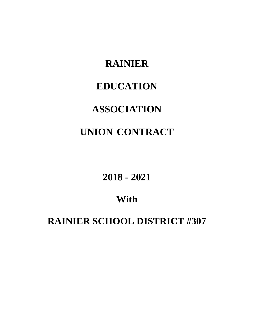# **RAINIER EDUCATION ASSOCIATION UNION CONTRACT**

**2018 - 2021**

## **With**

**RAINIER SCHOOL DISTRICT #307**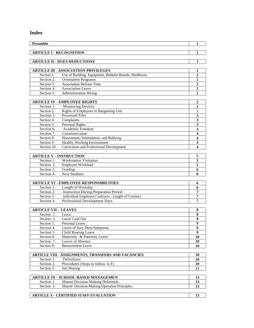## **Index**

| Preamble                       |                                                                                     | 1                       |
|--------------------------------|-------------------------------------------------------------------------------------|-------------------------|
|                                |                                                                                     |                         |
| <b>ARTICLE I - RECOGNITION</b> |                                                                                     | 1                       |
|                                |                                                                                     |                         |
|                                | <b>ARTICLE II - DUES DEDUCTIONS</b>                                                 | 1                       |
|                                |                                                                                     |                         |
|                                | <b>ARTICLE III - ASSOCIATION PRIVILEGES</b>                                         | 1                       |
| Section 1.                     | Use of Building, Equipment, Bulletin Boards, Mailboxes                              | $\overline{2}$          |
| Section 2.<br>Section 3.       | <b>Orientation Programs</b><br><b>Association Release Time</b>                      | 2<br>$\overline{2}$     |
| Section 4.                     | <b>Association Leave</b>                                                            | $\overline{2}$          |
| Section 5.                     | <b>Administration Hiring</b>                                                        | $\overline{2}$          |
|                                |                                                                                     |                         |
|                                | <b>ARTICLE IV - EMPLOYEE RIGHTS</b>                                                 | 2                       |
| Section 1.                     | <b>Monitoring Devices</b>                                                           | $\overline{2}$          |
| Section 2.                     | Rights of Employees in Bargaining Unit                                              | $\overline{2}$          |
| Section 3.                     | <b>Personnel Files</b>                                                              | 3                       |
| Section 4.                     | Complaints                                                                          | 3                       |
| Section 5.                     | <b>Personal Rights</b>                                                              | $\mathbf{3}$            |
| Section 6.                     | Academic Freedom                                                                    | 3                       |
| Section 7.                     | Communication                                                                       | $\boldsymbol{4}$        |
| Section 8.                     | Harassment, Intimidation, and Bullying                                              | 4                       |
| Section 9.                     | <b>Healthy Working Environment</b>                                                  | 4                       |
| Section 10.                    | Curriculum and Professional Development                                             | 4                       |
|                                |                                                                                     |                         |
| <b>ARTICLE V - INSTRUCTION</b> |                                                                                     | 5                       |
| Section 1.                     | <b>Workstation Visitation</b>                                                       | $\overline{\mathbf{5}}$ |
| Section 2.                     | Employee Workload                                                                   | 5                       |
| Section 3.                     | Grading                                                                             | 6                       |
| Section 4.                     | <b>New Students</b>                                                                 | 6                       |
|                                |                                                                                     |                         |
|                                | <b>ARTICLE VI - EMPLOYEE RESPONSIBILITIES</b>                                       | 6                       |
| Section 1.                     | Length of Workday                                                                   | 6                       |
| Section 2.                     | <b>Instruction During Preparation Period</b>                                        | 7                       |
| Section 3.<br>Section 4.       | Individual Employee Contracts - Length of Contract<br>Professional Development Days | 7<br>7                  |
|                                |                                                                                     |                         |
| <b>ARTICLE VII - LEAVES</b>    |                                                                                     | 8                       |
| Section 1.                     | Leave                                                                               | 8                       |
| Section 2.                     | Leave Cash Out                                                                      | 8                       |
| Section 3.                     | Personal Leave                                                                      | 9                       |
| Section 4.                     | Leave of Jury Duty/Subpoena                                                         | $\boldsymbol{9}$        |
| Section 5.                     | Child Rearing Leave                                                                 | $\boldsymbol{9}$        |
| Section 6.                     | Maternity & Paternity Leave                                                         | 10                      |
| Section 7.                     | Leaves of Absence                                                                   | 10                      |
| Section 8.                     | <b>Bereavement Leave</b>                                                            | 10                      |
|                                |                                                                                     |                         |
|                                | ARTICLE VIII - ASSIGNMENTS, TRANSFERS AND VACANCIES                                 | 10                      |
| Section 1.                     | Definitions                                                                         | 10                      |
| Section 2.                     | Procedures (Steps to follow A-F)                                                    | 10                      |
| Section 3.                     | <b>Job Sharing</b>                                                                  | 11                      |
|                                |                                                                                     |                         |
|                                | <b>ARTICLE IX - SCHOOL-BASED MANAGEMEN</b>                                          | 13                      |
| Section 1.                     | Shared Decision-Making Definition:                                                  | 13                      |
| Section $\overline{2}$ .       | Shared Decision-Making Operation Principles:                                        | 13                      |
|                                |                                                                                     |                         |
|                                | <b>ARTICLE X - CERTIFIED STAFF EVALUATION</b>                                       | 13                      |
|                                |                                                                                     |                         |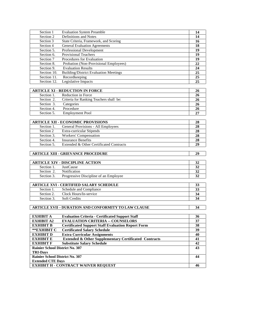| Section 1                                          | <b>Evaluation System Preamble</b>                                | 14              |
|----------------------------------------------------|------------------------------------------------------------------|-----------------|
| Section 2                                          | Definitions and Notes                                            | 14              |
| Section 3                                          | State Criteria, Framework, and Scoring                           | 16              |
| Section 4                                          | <b>General Evaluation Agreements</b>                             | 18              |
| Section 5.                                         | Professional Development                                         | 19              |
| Section 6.                                         | <b>Provisional Teachers</b>                                      | 19              |
| Section 7                                          | Procedures for Evaluation                                        | 19              |
| Section 8.                                         | Probation (Non-Provisional Employees)                            | 22              |
| Section 9.                                         | <b>Evaluation Results</b>                                        | 24              |
| Section 10.                                        | <b>Building/District Evaluation Meetings</b>                     | $\overline{25}$ |
| Section 11.                                        | Recordkeeping                                                    | 25              |
| Section 12.                                        | Legislative Impacts                                              | 25              |
|                                                    | <b>ARTICLE XI - REDUCTION IN FORCE</b>                           | 26              |
| Section 1.                                         | Reduction in Force                                               | 26              |
| Section 2.                                         | Criteria for Ranking Teachers shall be:                          | 26              |
| Section 3.                                         | Categories                                                       | 26              |
| Section 4.                                         | Procedure                                                        | 26              |
| Section 5.                                         | <b>Employment Pool</b>                                           | 27              |
|                                                    |                                                                  |                 |
|                                                    | <b>ARTICLE XII - ECONOMIC PROVISIONS</b>                         | 28              |
| Section 1.                                         | General Provisions - All Employees                               | 28              |
| Section 2                                          | Extra-curricular Stipends                                        | 28              |
| Section 3.                                         | Workers' Compensation                                            | 28              |
| Section 4.                                         | <b>Insurance Benefits</b>                                        | 28              |
| Section 5.                                         | Extended & Other Certificated Contracts                          | 29              |
|                                                    | <b>ARTICLE XIII - GRIEVANCE PROCEDURE</b>                        | 29              |
|                                                    |                                                                  |                 |
|                                                    | <b>ARTICLE XIV - DISCIPLINE ACTION</b>                           | 32              |
| Section 1.                                         | JustCause<br>Notification                                        | 32              |
| Section 2.                                         |                                                                  | 32              |
| Section 3.                                         | Progressive Discipline of an Employee                            | $\overline{32}$ |
|                                                    | <b>ARTICLE XVI - CERTIFIED SALARY SCHEDULE</b>                   | 33              |
| Section 1.                                         | Schedule and Compliance                                          | 33              |
| Section 2.                                         | Clock Hours/In-service                                           | 34              |
| Section 3.                                         | Soft Credits                                                     | 34              |
|                                                    |                                                                  |                 |
|                                                    | <b>ARTICLE XVII – DURATION AND CONFORMITY TO LAW CLAUSE</b>      | 34              |
|                                                    |                                                                  |                 |
| <b>EXHIBIT A</b>                                   | <b>Evaluation Criteria - Certificated Support Staff</b>          | 36              |
| <b>EXHIBIT A2</b>                                  | <b>EVALUATION CRITERIA -- COUNSELORS</b>                         | 37              |
| <b>EXHIBIT B</b>                                   | <b>Certificated Support Staff Evaluation Report Form</b>         | 38              |
| **EXHIBIT C                                        | <b>Certificated Salary Schedule</b>                              | 39              |
| <b>EXHIBIT D</b>                                   | <b>Extra Curricular Assignments</b>                              | 40              |
| <b>EXHIBIT E</b>                                   | <b>Extended &amp; Other Supplementary Certificated Contracts</b> | 41              |
| <b>EXHIBIT F</b>                                   | <b>Substitute Salary Schedule</b>                                | 42              |
| Rainier School District No. 307<br><b>TRI-Days</b> |                                                                  | 43              |
| Rainier School District No. 307                    |                                                                  | 44              |
| <b>Extended CTE Days</b>                           |                                                                  |                 |
|                                                    | <b>EXHIBIT H - CONTRACT WAIVER REQUEST</b>                       | 46              |
|                                                    |                                                                  |                 |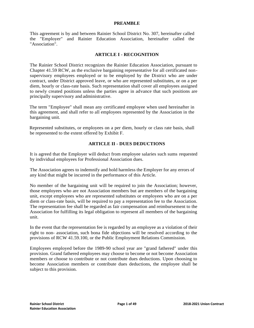#### **PREAMBLE**

This agreement is by and between Rainier School District No. 307, hereinafter called the "Employer" and Rainier Education Association, hereinafter called the "Association".

#### **ARTICLE I - RECOGNITION**

The Rainier School District recognizes the Rainier Education Association, pursuant to Chapter 41.59 RCW, as the exclusive bargaining representative for all certificated nonsupervisory employees employed or to be employed by the District who are under contract, under District approved leave, or who are represented substitutes, or on a per diem, hourly or class-rate basis. Such representation shall cover all employees assigned to newly created positions unless the parties agree in advance that such positions are principally supervisory and administrative.

The term "Employee" shall mean any certificated employee when used hereinafter in this agreement, and shall refer to all employees represented by the Association in the bargaining unit.

Represented substitutes, or employees on a per diem, hourly or class rate basis, shall be represented to the extent offered by Exhibit F.

#### **ARTICLE II - DUES DEDUCTIONS**

It is agreed that the Employer will deduct from employee salaries such sums requested by individual employees for Professional Association dues.

The Association agrees to indemnify and hold harmless the Employer for any errors of any kind that might be incurred in the performance of this Article.

No member of the bargaining unit will be required to join the Association; however, those employees who are not Association members but are members of the bargaining unit, except employees who are represented substitutes or employees who are on a per diem or class-rate basis, will be required to pay a representation fee to the Association. The representation fee shall be regarded as fair compensation and reimbursement to the Association for fulfilling its legal obligation to represent all members of the bargaining unit.

In the event that the representation fee is regarded by an employee as a violation of their right to non- association, such bona fide objections will be resolved according to the provisions of RCW 41.59.100, or the Public Employment Relations Commission.

Employees employed before the 1989-90 school year are "grand fathered" under this provision. Grand fathered employees may choose to become or not become Association members or choose to contribute or not contribute dues deductions. Upon choosing to become Association members or contribute dues deductions, the employee shall be subject to this provision.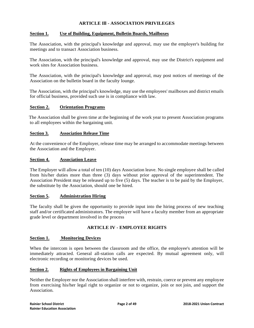#### **ARTICLE Ill - ASSOCIATION PRIVILEGES**

#### **Section 1. Use of Building, Equipment, Bulletin Boards, Mailboxes**

The Association, with the principal's knowledge and approval, may use the employer's building for meetings and to transact Association business.

The Association, with the principal's knowledge and approval, may use the District's equipment and work sites for Association business.

The Association, with the principal's knowledge and approval, may post notices of meetings of the Association on the bulletin board in the faculty lounge.

The Association, with the principal's knowledge, may use the employees' mailboxes and district emails for official business, provided such use is in compliance with law.

#### **Section 2. Orientation Programs**

The Association shall be given time at the beginning of the work year to present Association programs to all employees within the bargaining unit.

#### **Section 3. Association Release Time**

At the convenience of the Employer, release time may be arranged to accommodate meetings between the Association and the Employer.

#### **Section 4. Association Leave**

The Employer will allow a total of ten (10) days Association leave. No single employee shall be called from his/her duties more than three (3) days without prior approval of the superintendent. The Association President may be released up to five (5) days. The teacher is to be paid by the Employer, the substitute by the Association, should one be hired.

#### **Section 5. Administration Hiring**

The faculty shall be given the opportunity to provide input into the hiring process of new teaching staff and/or certificated administrators. The employer will have a faculty member from an appropriate grade level or department involved in the process

#### **ARTICLE IV - EMPLOYEE RIGHTS**

#### **Section 1. Monitoring Devices**

When the intercom is open between the classroom and the office, the employee's attention will be immediately attracted. General all-station calls are expected. By mutual agreement only, will electronic recording or monitoring devices be used.

#### **Section 2. Rights of Employees in Bargaining Unit**

Neither the Employer nor the Association shall interfere with, restrain, coerce or prevent any employee from exercising his/her legal right to organize or not to organize, join or not join, and support the Association.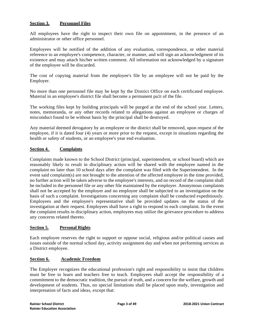#### **Section 3. Personnel Files**

All employees have the right to inspect their own file on appointment, in the presence of an administrator or other office personnel.

Employees will be notified of the addition of any evaluation, correspondence, or other material reference to an employee's competence, character, or manner, and will sign an acknowledgment of its existence and may attach his/her written comment. All information not acknowledged by a signature of the employee will be discarded.

The cost of copying material from the employee's file by an employee will not be paid by the Employer.

No more than one personnel file may be kept by the District Office on each certificated employee. Material in an employee's district file shall become a permanent pa1t of the file.

The working files kept by building principals will be purged at the end of the school year. Letters, notes, memoranda, or any other records related to allegations against an employee or charges of misconduct found to be without basis by the principal shall be destroyed.

Any material deemed derogatory by an employee or the district shall be removed, upon request of the employee, if it is dated four (4) years or more prior to the request, except in situations regarding the health or safety of students, or an employee's year end evaluation.

#### **Section 4. Complaints**

Complaints made known to the School District (principal, superintendent, or school board) which are reasonably likely to result in disciplinary action will be shared with the employee named in the complaint no later than 10 school days after the complaint was filed with the Superintendent. In the event said complaint(s) are not brought to the attention of the affected employee in the time provided, no further action will be taken adverse to the employee's interests, and no record of the complaint shall be included in the personnel file or any other file maintained by the employer. Anonymous complaints shall not be accepted by the employer and no employee shall be subjected to an investigation on the basis of such a complaint. Investigations concerning any complaint shall be conducted expeditiously. Employees and the employee's representative shall be provided updates on the status of the investigation at their request. Employees shall have a right to respond to each complaint. In the event the complaint results in disciplinary action, employees may utilize the grievance procedure to address any concerns related thereto.

#### **Section 5. Personal Rights**

Each employee reserves the right to support or oppose social, religious and/or political causes and issues outside of the normal school day, activity assignment day and when not performing services as a District employee.

#### **Section 6. Academic Freedom**

The Employer recognizes the educational profession's right and responsibility to insist that children must be free to learn and teachers free to teach. Employees shall accept the responsibility of a commitment to the democratic tradition, the pursuit of truth, and a concern for the welfare, growth and development of students. Thus, no special limitations shall be placed upon study, investigation and interpretation of facts and ideas, except that: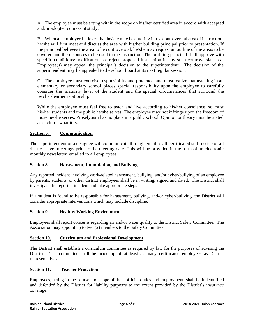A. The employee must be acting within the scope on his/her certified area in accord with accepted and/or adopted courses of study.

B. When an employee believes that he/she may be entering into a controversial area of instruction, he/she will first meet and discuss the area with his/her building principal prior to presentation. If the principal believes the area to be controversial, he/she may request an outline of the areas to be covered and the resources to be used in the instruction. The building principal shall approve with specific conditions/modifications or reject proposed instruction in any such controversial area. Employee(s) may appeal the principal's decision to the superintendent. The decision of the superintendent may be appealed to the school board at its next regular session.

C. The employee must exercise responsibility and prudence, and must realize that teaching in an elementary or secondary school places special responsibility upon the employee to carefully consider the maturity level of the student and the special circumstances that surround the teacher/learner relationship.

While the employee must feel free to teach and live according to his/her conscience, so must his/her students and the public he/she serves. The employee may not infringe upon the freedom of those he/she serves. Proselytism has no place in a public school. Opinion or theory must be stated as such for what it is.

#### **Section 7. Communication**

The superintendent or a designee will communicate through email to all certificated staff notice of all district- level meetings prior to the meeting date. This will be provided in the form of an electronic monthly newsletter, emailed to all employees.

#### **Section 8. Harassment, Intimidation, and Bullying**

Any reported incident involving work-related harassment, bullying, and/or cyber-bullying of an employee by parents, students, or other district employees shall be in writing, signed and dated. The District shall investigate the reported incident and take appropriate steps.

If a student is found to be responsible for harassment, bullying, and/or cyber-bullying, the District will consider appropriate interventions which may include discipline.

#### **Section 9. Healthy Working Environment**

Employees shall report concerns regarding air and/or water quality to the District Safety Committee. The Association may appoint up to two (2) members to the Safety Committee.

#### **Section 10. Curriculum and Professional Development**

The District shall establish a curriculum committee as required by law for the purposes of advising the District. The committee shall be made up of at least as many certificated employees as District representatives.

#### **Section 11. Teacher Protection**

Employees, acting in the course and scope of their official duties and employment, shall be indemnified and defended by the District for liability purposes to the extent provided by the District's insurance coverage.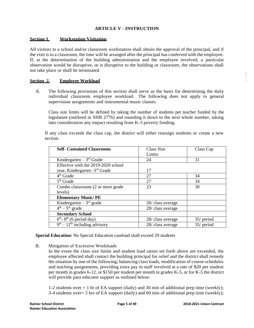#### **ARTICLE V - INSTRUCTION**

#### **Section 1. Workstation Visitation**

All visitors to a school and/or classroom workstation shall obtain the approval of the principal, and if the visit is to a classroom, the time will be arranged after the principal has conferred with the employee. If, at the determination of the building administration and the employee involved, a particular observation would be disruptive, or is disruptive to the building or classroom, the observations shall not take place or shall be terminated.

#### **Section 2. Employee Workload**

A. The following provisions of this section shall serve as the basis for determining the daily individual classroom employee workload. The following does not apply to general supervision assignments and instrumental music classes.

Class size limits will be defined by taking the number of students per teacher funded by the legislature (outlined in SHB 2776) and rounding it down to the next whole number, taking into consideration any impact resulting from K-3 poverty funding.

If any class exceeds the class cap, the district will either reassign students or create a new section.

| <b>Self- Contained Classrooms</b>           | Class Size        | Class Cap    |
|---------------------------------------------|-------------------|--------------|
|                                             | Limits            |              |
| Kindergarten $-3rd$ Grade                   | 24                | 31           |
| Effective with the 2019-2020 school         |                   |              |
| year, Kindergarten -3rd Grade               | 17                |              |
| 4 <sup>th</sup> Grade                       | 27                | 34           |
| $5th$ Grade                                 | 27                | 34           |
| Combo classrooms (2 or more grade           | 23                | 30           |
| levels)                                     |                   |              |
| <b>Elementary Music/PE</b>                  |                   |              |
| Kindergarten $-3rd$ grade                   | 26/ class average |              |
| $\overline{4^{th}}$ – 5 <sup>th</sup> grade | 28/ class average |              |
| <b>Secondary School</b>                     |                   |              |
| $6th$ - 8 <sup>th</sup> (6 period day)      | 28/ class average | $35/$ period |
| $9th - 12th$ including advisory             | 28/ class average | 35/ period   |

**Special Education:** No Special Education caseload shall exceed 29 students

- B. Mitigation of Excessive Workloads
	- In the event the class size limits and student load ration set forth above are exceeded, the employee affected shall contact the building principal for relief and the district shall remedy the situation by one of the following; balancing class loads, modification of course schedules and teaching assignments, providing extra pay to staff involved at a rate of \$20 per student per month in grades 6-12, or \$150 per student per month in grades K-5, or for K-5 the district will provide para educator support as outlined below:

1-2 students over  $= 1$  hr of EA support (daily) and 30 min of additional prep time (weekly);  $3-4$  students over  $= 2$  hrs of EA support (daily) and 60 min of additional prep time (weekly); *DESCRIPTION CONTINUES*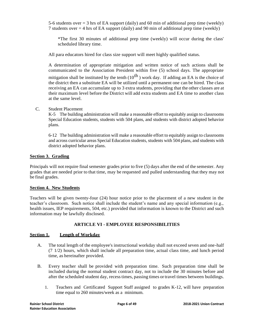5-6 students over  $= 3$  hrs of EA support (daily) and 60 min of additional prep time (weekly) 7 students over = 4 hrs of EA support (daily) and 90 min of additional prep time (weekly)

\*The first 30 minutes of additional prep time (weekly) will occur during the class' scheduled library time.

All para educators hired for class size support will meet highly qualified status.

A determination of appropriate mitigation and written notice of such actions shall be communicated to the Association President within five (5) school days. The appropriate

mitigation shall be instituted by the tenth  $(10^{th})$  work day. If adding an EA is the choice of the district then a substitute EA will be utilized until a permanent one can be hired. The class receiving an EA can accumulate up to 3 extra students, providing that the other classes are at their maximum level before the District will add extra students and EA time to another class at the same level.

#### C. Student Placement

K-5 The building administration will make a reasonable effort to equitably assign to classrooms Special Education students, students with 504 plans, and students with district adopted behavior plans.

6-12 The building administration will make a reasonable effort to equitably assign to classrooms and across curricular areas Special Education students, students with 504 plans, and students with district adopted behavior plans.

#### **Section 3. Grading**

Principals will not require final semester grades prior to five (5) days after the end of the semester. Any grades that are needed prior to that time, may be requested and pulled understanding that they may not be final grades.

#### **Section 4. New Students**

Teachers will be given twenty-four (24) hour notice prior to the placement of a new student in the teacher's classroom. Such notice shall include the student's name and any special information (e.g., health issues, IEP requirements, 504, etc.) provided that information is known to the District and such information may be lawfully disclosed.

#### **ARTICLE VI - EMPLOYEE RESPONSIBILITIES**

#### **Section 1. Length of Workday**

- A. The total length of the employee's instructional workday shall not exceed seven and one-half (7 1/2) hours, which shall include all preparation time, actual class time, and lunch period time, as hereinafter provided.
- B. Every teacher shall be provided with preparation time. Such preparation time shall be included during the normal student contract day, not to include the 30 minutes before and after the scheduled student day, recesstimes, passing times ortravel times between buildings.
	- 1. Teachers and Certificated Support Staff assigned to grades K-12, will have preparation time equal to 260 minutes/week as a minimum.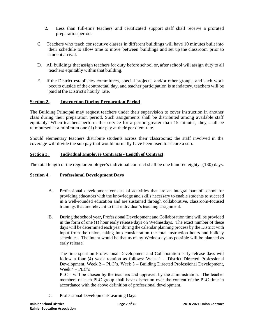- 2. Less than full-time teachers and certificated support staff shall receive a prorated preparation period.
- C. Teachers who teach consecutive classes in different buildings will have 10 minutes built into their schedule to allow time to move between buildings and set up the classroom prior to student arrival.
- D. All buildings that assign teachers for duty before school or, after school will assign duty to all teachers equitably within that building.
- E. If the District establishes committees, special projects, and/or other groups, and such work occurs outside of the contractual day, and teacher participation is mandatory, teachers will be paid at the District's hourly rate.

#### **Section 2. Instruction During Preparation Period**

The Building Principal may request teachers under their supervision to cover instruction in another class during their preparation period. Such assignments shall be distributed among available staff equitably. When teachers perform this service for a period greater than 15 minutes, they shall be reimbursed at a minimum one (1) hour pay at their per diem rate.

Should elementary teachers distribute students across their classrooms; the staff involved in the coverage will divide the sub pay that would normally have been used to secure a sub.

#### **Section 3. Individual Employee Contracts - Length of Contract**

The total length of the regular employee's individual contract shall be one hundred eighty- (180) days.

#### **Section 4. Professional Development Days**

- A. Professional development consists of activities that are an integral part of school for providing educators with the knowledge and skills necessary to enable students to succeed in a well-rounded education and are sustained through collaborative, classroom-focused trainings that are relevant to that individual's teaching assignment.
- B. During the school year, Professional Development and Collaboration time will be provided in the form of one (1) hour early release days on Wednesdays. The exact number of these days will be determined each year during the calendar planning process by the District with input from the union, taking into consideration the total instruction hours and holiday schedules. The intent would be that as many Wednesdays as possible will be planned as early release.

The time spent on Professional Development and Collaboration early release days will follow a four (4) week rotation as follows: Week 1 – District Directed Professional Development, Week 2 – PLC's, Week 3 – Building Directed Professional Development, Week  $4 - PLC's$ 

PLC's will be chosen by the teachers and approved by the administration. The teacher members of each PLC group shall have discretion over the content of the PLC time in accordance with the above definition of professional development.

C. Professional Development/Learning Days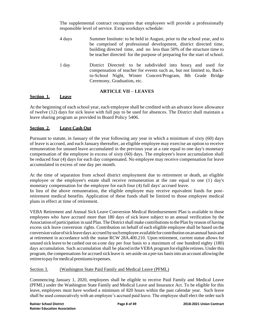The supplemental contract recognizes that employees will provide a professionally responsible level of service. Extra workdays schedule:

- 4 days Summer Institute: to be held in August, prior to the school year, and to be comprised of professional development, district directed time, building directed time, and no less than 50% of the structure time to be teacher directed for the purpose of preparing for the start of school.
- 1 day District Directed: to be subdivided into hours and used for compensation of teacher for events such as, but not limited to, Backto-School Night, Winter Concert/Program, 8th Grade Bridge Ceremony, Graduation, etc.

#### **ARTICLE VII – LEAVES**

#### **Section 1. Leave**

At the beginning of each school year, each employee shall be credited with an advance leave allowance of twelve (12) days for sick leave with full pay to be used for absences. The District shall maintain a leave sharing program as provided in Board Policy 5406.

#### **Section 2. Leave Cash Out**

Pursuant to statute, in January of the year following any year in which a minimum of sixty (60) days of leave is accrued, and each January thereafter, an eligible employee may exercise an option to receive remuneration for unused leave accumulated in the previous year at a rate equal to one day's monetary compensation of the employee in excess of sixty (60) days. The employee's leave accumulation shall be reduced four (4) days for each day compensated. No employee may receive compensation for leave accumulated in excess of one day per month.

At the time of separation from school district employment due to retirement or death, an eligible employee or the employee's estate shall receive remuneration at the rate equal to one (1) day's monetary compensation for the employee for each four (4) full days' accrued leave. In lieu of the above remuneration, the eligible employee may receive equivalent funds for postretirement medical benefits. Application of these funds shall be limited to those employee medical plans in effect at time of retirement.

VEBA Retirement and Annual Sick Leave Conversion Medical Reimbursement Plan is available to those employees who have accrued more than 180 days of sick leave subject to an annual verification by the Association of participation in said Plan. The District shall make contributions to the Plan by reason of having excess sick leave conversion rights. Contribution on behalf of each eligible employee shall be based on the conversion value of sickleave days accrued by such employee available for contribution on an annual basis and at retirement in accordance with the statue RCW 28A.400.210. Upon retirement, current statue allows for unused sick leave to be cashed out on a one day per four basis to a maximum of one hundred eighty (180) days accumulation. Such accumulation shall be placed in the VEBA program for eligible retirees. Under this program, the compensationsfor accrued sick leave is set-aside on a pre-tax basisinto an account allowing the retireetopayformedical premiums/expenses.

#### Section 3. (Washington State Paid Family and Medical Leave (PFML)

Commencing January 1, 2020, employees shall be eligible to receive Paid Family and Medical Leave (PFML) under the Washington State Family and Medical Leave and Insurance Act. To be eligible for this leave, employees must have worked a minimum of 820 hours within the past calendar year. Such leave shall be used consecutively with an employee's accrued paid leave. The employee shall elect the order such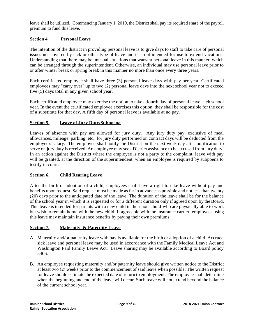leave shall be utilized. Commencing January 1, 2019, the District shall pay its required share of the payroll premium to fund this leave.

#### **Section 4. Personal Leave**

The intention of the district in providing personal leave is to give days to staff to take care of personal issues not covered by sick or other type of leave and it is not intended for use to extend vacations. Understanding that there may be unusual situations that warrant personal leave in this manner, which can be arranged through the superintendent. Otherwise, an individual may use personal leave prior to or after winter break or spring break in this manner no more than once every three years.

Each certificated employee shall have three (3) personal leave days with pay per year. Certificated employees may "carry over" up to two (2) personal leave days into the next school year not to exceed five (5) days total in any given school year.

Each certificated employee may exercise the option to take a fourth day of personal leave each school year. In the event the ce1tificated employee exercises this option, they shall be responsible for the cost of a substitute for that day. A fifth day of personal leave is available at no pay.

#### **Section 5. Leave of Jury Duty/Subpoena**

Leaves of absence with pay are allowed for jury duty. Any jury duty pay, exclusive of meal allowances, mileage, parking, etc., for jury duty performed on contract days will be deducted from the employee's salary. The employee shall notify the District on the next work day after notification to serve on jury duty is received. An employee may seek District assistance to be excused from jury duty. In an action against the District where the employee is not a party to the complaint, leave with pay will be granted, at the direction of the superintendent, when an employee is required by subpoena to testify in court.

#### **Section 6. Child Rearing Leave**

After the birth or adoption of a child, employees shall have a right to take leave without pay and benefits upon request. Said request must be made as far in advance as possible and not less than twenty (20) days prior to the anticipated date of the leave. The duration of the leave shall be for the balance of the school year in which it is requested or for a different duration only if agreed upon by the Board. This leave is intended for parents with a new child in their household who are physically able to work but wish to remain home with the new child. If agreeable with the insurance carrier, employees using this leave may maintain insurance benefits by paying their own premiums.

#### **Section 7. Maternity & Paternity Leave**

- A. Maternity and/or paternity leave with pay is available for the birth or adoption of a child. Accrued sick leave and personal leave may be used in accordance with the Family Medical Leave Act and Washington Paid Family Leave Act. Leave sharing may be available according to Board policy 5406.
- B. An employee requesting maternity and/or paternity leave should give written notice to the District at least two (2) weeks prior to the commencement of said leave when possible. The written request for leave should estimate the expected date of return to employment. The employee shall determine when the beginning and end of the leave will occur. Such leave will not extend beyond the balance of the current school year.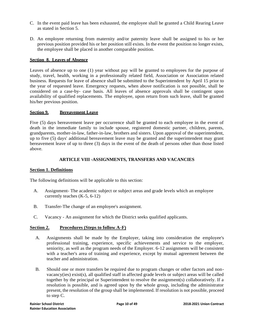- C. In the event paid leave has been exhausted, the employee shall be granted a Child Rearing Leave as stated in Section 5.
- D. An employee returning from maternity and/or paternity leave shall be assigned to his or her previous position provided his or her position still exists. In the event the position no longer exists, the employee shall be placed in another comparable position.

#### **Section 8. Leaves of Absence**

Leaves of absence up to one (1) year without pay will be granted to employees for the purpose of study, travel, health, working in a professionally related field, Association or Association related business. Requests for leave of absence shall be submitted to the Superintendent by April 15 prior to the year of requested leave. Emergency requests, when above notification is not possible, shall be considered on a case-by- case basis. All leaves of absence approvals shall be contingent upon availability of qualified replacements. The employee, upon return from such leave, shall be granted his/her previous position.

#### **Section 9. Bereavement Leave**

Five (5) days bereavement leave per occurrence shall be granted to each employee in the event of death in the immediate family to include spouse, registered domestic partner, children, parents, grandparents, mother-in-law, father-in-law, brothers and sisters. Upon approval of the superintendent, up to five (5) days' additional bereavement leave may be granted and the superintendent may grant bereavement leave of up to three (3) days in the event of the death of persons other than those listed above.

#### **ARTICLE VIII -ASSIGNMENTS, TRANSFERS AND VACANCIES**

#### **Section 1. Definitions**

The following definitions will be applicable to this section:

- A. Assignment- The academic subject or subject areas and grade levels which an employee currently teaches (K-5, 6-12)
- B. Transfer-The change of an employee's assignment.
- C. Vacancy An assignment for which the District seeks qualified applicants.

#### **Section 2. Procedures (Steps to follow A-F)**

- A. Assignments shall be made by the Employer, taking into consideration the employee's professional training, experience, specific achievements and service to the employer, seniority, as well as the program needs of the Employer. 6-12 assignments will be consistent with a teacher's area of training and experience, except by mutual agreement between the teacher and administration.
- B. Should one or more transfers be required due to program changes or other factors and nonvacancy(ies) exist(s), all qualified staff in affected grade levels or subject areas will be called together by the principal or Superintendent to resolve the assignment(s) collaboratively. If a resolution is possible, and is agreed upon by the whole group, including the administrator present, the resolution of the group shall be implemented. If resolution is not possible, proceed to step C.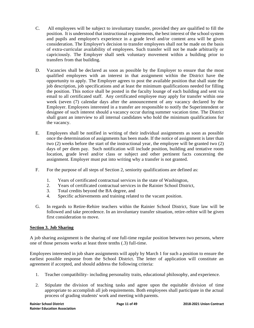- C. All employees will be subject to involuntary transfer, provided they are qualified to fill the position. It is understood that instructional requirements, the best interest of the school system and pupils and employee's experience in a grade level and/or content area will be given consideration. The Employer's decision to transfer employees shall not be made on the basis of extra-curricular availability of employees. Such transfer will not be made arbitrarily or capriciously. The Employer shall seek voluntary movement within a building prior to transfers from that building.
- D. Vacancies shall be declared as soon as possible by the Employer to ensure that the most qualified employees with an interest in that assignment within the District have the opportunity to apply. The Employer agrees to post the available position that shall state the job description, job specifications and at least the minimum qualifications needed for filling the position. This notice shall be posted in the faculty lounge of each building and sent via email to all certificated staff. Any certificated employee may apply for transfer within one week (seven (7) calendar days after the announcement of any vacancy declared by the Employer. Employees interested in a transfer are responsible to notify the Superintendent or designee of such interest should a vacancy occur during summer vacation time. The District shall grant an interview to all internal candidates who hold the minimum qualifications for the vacancy.
- E. Employees shall be notified in writing of their individual assignments as soon as possible once the determination of assignments has been made. If the notice of assignment is later than two (2) weeks before the start of the instructional year, the employee will be granted two (2) days of per diem pay. Such notification will include position, building and tentative room location, grade level and/or class or subject and other pertinent facts concerning the assignment. Employer must put into writing why a transfer is not granted.
- F. For the purpose of all steps of Section 2, seniority qualifications are defined as:
	- 1. Years of certificated contractual services in the state of Washington,
	- 2. Years of certificated contractual services in the Rainier School District,
	- 3. Total credits beyond the BA degree, and
	- 4. Specific achievements and training related to the vacant position.
- G. In regards to Retire-Rehire teachers within the Rainier School District, State law will be followed and take precedence. In an involuntary transfer situation, retire-rehire will be given first consideration to move.

#### **Section 3. Job Sharing**

A job sharing assignment is the sharing of one full-time regular position between two persons, where one of those persons works at least three tenths (.3) full-time.

Employees interested in job share assignments will apply by March 1 for such a position to ensure the earliest possible response from the School District. The letter of application will constitute an agreement if accepted, and should address the following criteria:

- 1. Teacher compatibility- including personality traits, educational philosophy, and experience.
- 2. Stipulate the division of teaching tasks and agree upon the equitable division of time appropriate to accomplish all job requirements. Both employees shall participate in the actual process of grading students' work and meeting with parents.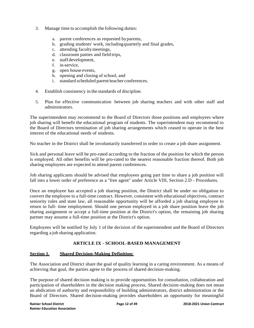- 3. Manage time to accomplish the following duties:
	- a. parent conferences as requested byparents,
	- b. grading students' work, includingquarterly and final grades,
	- c. attending facultymeetings,
	- d. classroom patties and field trips,
	- e. staff development,
	- f. in-service,
	- g. open house events,
	- h. opening and closing of school, and
	- i. standard scheduled parent/teacher conferences.
- 4. Establish consistency in the standards of discipline.
- 5. Plan for effective communication between job sharing teachers and with other staff and administrators.

The superintendent may recommend to the Board of Directors those positions and employees where job sharing will benefit the educational program of students. The superintendent may recommend to the Board of Directors termination of job sharing arrangements which ceased to operate in the best interest of the educational needs of students.

No teacher in the District shall be involuntarily transferred in order to create a job share assignment.

Sick and personal leave will be pro-rated according to the fraction of the position for which the person is employed. All other benefits will be pro-rated to the nearest reasonable fraction thereof. Both job sharing employees are expected to attend parent conferences.

Job sharing applicants should be advised that employees going part time to share a job position will fall into a lower order of preference as a "free agent" under Article VIII, Section 2.D - Procedures.

Once an employee has accepted a job sharing position, the District shall be under no obligation to convert the employee to a full-time contract. However, consistent with educational objectives, contract seniority rules and state law, all reasonable opportunity will be afforded a job sharing employee to return to full- time employment. Should one person employed in a job share position leave the job sharing assignment or accept a full-time position at the District's option, the remaining job sharing partner may assume a full-time position at the District's option.

Employees will be notified by July 1 of the decision of the superintendent and the Board of Directors regarding a job sharing application.

#### **ARTICLE IX - SCHOOL-BASED MANAGEMENT**

#### **Section 1. Shared Decision-Making Definition:**

The Association and District share the goal of quality learning in a caring environment. As a means of achieving that goal, the parties agree to the process of shared decision-making.

The purpose of shared decision making is to provide opportunities for consultation, collaboration and participation of shareholders in the decision making process. Shared decision-making does not mean an abdication of authority and responsibility of building administrators, district administration or the Board of Directors. Shared decision-making provides shareholders an opportunity for meaningful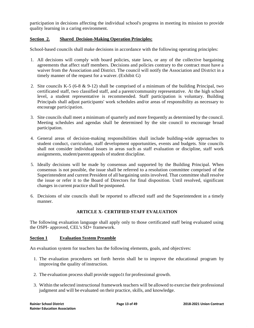participation in decisions affecting the individual school's progress in meeting its mission to provide quality learning in a caring environment.

#### **Section 2. Shared Decision-Making Operation Principles:**

School-based councils shall make decisions in accordance with the following operating principles:

- 1. All decisions will comply with board policies, state laws, or any of the collective bargaining agreements that affect staff members. Decisions and policies contrary to the contract must have a waiver from the Association and District. The council will notify the Association and District in a timely manner of the request for a waiver. (Exhibit G)
- 2. Site councils K-5 (6-8 & 9-12) shall be comprised of a minimum of the building Principal, two certificated staff, two classified staff, and a parent/community representative. At the high school level, a student representative is recommended. Staff participation is voluntary. Building Principals shall adjust participants' work schedules and/or areas of responsibility as necessary to encourage participation.
- 3. Site councils shall meet a minimum of quarterly and more frequently as determined by the council. Meeting schedules and agendas shall be determined by the site council to encourage broad participation.
- 4. General areas of decision-making responsibilities shall include building-wide approaches to student conduct, curriculum, staff development opportunities, events and budgets. Site councils shall not consider individual issues in areas such as staff evaluation or discipline, staff work assignments, student/parent appeals of student discipline.
- 5. Ideally decisions will be made by consensus and supported by the Building Principal. When consensus is not possible, the issue shall be referred to a resolution committee comprised of the Superintendent and current President of all bargaining units involved. That committee shall resolve the issue or refer it to the Board of Directors for final disposition. Until resolved, significant changes in current practice shall be postponed.
- 6. Decisions of site councils shall be reported to affected staff and the Superintendent in a timely manner.

#### **ARTICLE X- CERTIFIED STAFF EVALUATION**

The following evaluation language shall apply only to those certificated staff being evaluated using the OSPI- approved, CEL's SD+ framework.

#### **Section 1 Evaluation System Preamble**

An evaluation system for teachers has the following elements, goals, and objectives:

- 1. The evaluation procedures set forth herein shall be to improve the educational program by improving the quality of instruction.
- 2. The evaluation process shall provide suppo1t for professional growth.
- 3. Within the selected instructional framework teachers will be allowed to exercise their professional judgment and will be evaluated on their practice, skills, and knowledge.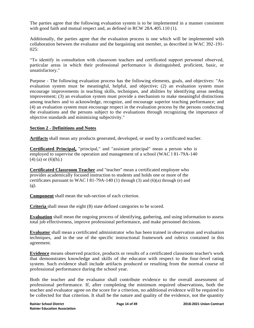The parties agree that the following evaluation system is to be implemented in a manner consistent with good faith and mutual respect and, as defined in RCW 28A.405.110 (1).

Additionally, the parties agree that the evaluation process is one which will be implemented with collaboration between the evaluator and the bargaining unit member, as described in WAC 392-191- 025:

"To identify in consultation with classroom teachers and certificated support personnel observed, particular areas in which their professional performance is distinguished, proficient, basic, or unsatisfactory."

Purpose - The following evaluation process has the following elements, goals, and objectives: "An evaluation system must be meaningful, helpful, and objective; (2) an evaluation system must encourage improvements in teaching skills, techniques, and abilities by identifying areas needing improvement; (3) an evaluation system must provide a mechanism to make meaningful distinctions among teachers and to acknowledge, recognize, and encourage superior teaching performance; and (4) an evaluation system must encourage respect in the evaluation process by the persons conducting the evaluations and the persons subject to the evaluations through recognizing the importance of objective standards and minimizing subjectivity."

#### **Section 2 - Definitions and Notes**

**Artifacts** shall mean any products generated, developed, or used by a certificated teacher.

**Certificated Principal,** "principal," and "assistant principal" mean a person who is employed to supervise the operation and management of a school (WAC l 81-79A-140  $(4)$  (a) or  $(6)(h)$ .)

**Certificated Classroom Teacher** and "teacher" mean a certificated employee who provides academically focused instruction to students and holds one or more of the certificates pursuant to WAC 181-79A-140 (1) through (3) and (6)(a) through (e) and (g).

**Component** shall mean the sub-section of each criterion.

**Criteria** shall mean the eight (8) state defined categories to be scored.

**Evaluation** shall mean the ongoing process of identifying, gathering, and using information to assess total job effectiveness, improve professional performance, and make personnel decisions.

**Evaluator** shall mean a certificated administrator who has been trained in observation and evaluation techniques, and in the use of the specific instructional framework and rubrics contained in this agreement.

**Evidence** means observed practice, products or results of a certificated classroom teacher's work that demonstrates knowledge and skills of the educator with respect to the four-level rating system. Such evidence shall include artifacts produced or resulting from the normal course of professional performance during the school year.

Both the teacher and the evaluator shall contribute evidence to the overall assessment of professional performance. If, after completing the minimum required observations, both the teacher and evaluator agree on the score for a criterion, no additional evidence will be required to be collected for that criterion. It shall be the nature and quality of the evidence, not the quantity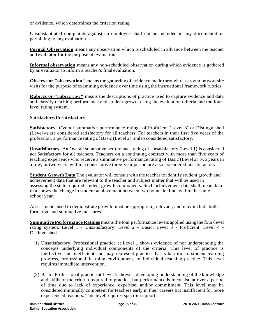of evidence, which determines the criterion rating.

Unsubstantiated complaints against an employee shall not be included in any documentation pertaining to any evaluation.

**Formal Observation** means any observation which is scheduled in advance between the teacher and evaluator for the purpose of evaluation.

**Informal observation** means any non-scheduled observation during which evidence is gathered by an evaluator to inform a teacher's final evaluation.

**Observe or "observation"** means the gathering of evidence made through classroom or worksite visits for the purpose of examining evidence over time using the instructional framework rubrics.

**Rubrics or "rubric row"** means the descriptions of practice used to capture evidence and data and classify teaching performance and student growth using the evaluation criteria and the fourlevel rating system.

#### **Satisfactory/Unsatisfactory**

**Satisfactory-** Overall summative performance ratings of Proficient (Level 3) or Distinguished (Level 4) are considered satisfactory for all teachers. For teachers in their first five years of the profession, a performance rating of Basic (Level 2) is also considered satisfactory.

**Unsatisfactory-** An Overall summative performance rating of Unsatisfactory (Level 1**)** is considered not Satisfactory for all teachers. Teachers on a continuing contract with more than five years of teaching experience who receive a summative performance rating of Basic (Level 2) two years in a row, or two years within a consecutive three-year period are also considered unsatisfactory.

**Student Growth Data** The evaluator will consult with the teacher to identify student growth and achievement data that are relevant to the teacher and subject matter that will be used in assessing the state required student growth components. Such achievement data shall mean data that shows the change in student achievement between two points in time, within the same school year.

Assessments used to demonstrate growth must be appropriate, relevant, and may include both formative and summative measures.

**Summative Performance Ratings** meansthe four performance levels applied using the four-level rating system: Level 1 - Unsatisfactory; Level 2 - Basic; Level 3 - Proficient; Level 4 - Distinguished.

- (1) Unsatisfactory: Professional practice at Level 1 shows evidence of not understanding the concepts underlying individual components of the criteria. This level of practice is ineffective and inefficient and may represent practice that is harmful to student learning progress, professional learning environment, or individual teaching practice. This level requires immediate intervention.
- (2) Basic: Professional practice at Level 2 shows a developing understanding of the knowledge and skills of the criteria required to practice, but performance is inconsistent over a period of time due to lack of experience, expertise, and/or commitment. This level may be considered minimally competent for teachers early in their careers but insufficient for more experienced teachers. This level requires specific support.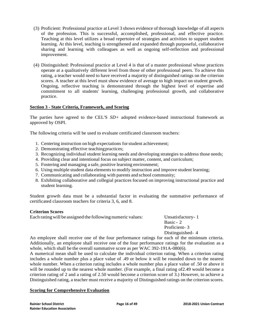- (3) Proficient: Professional practice at Level 3 shows evidence of thorough knowledge of all aspects of the profession. This is successful, accomplished, professional, and effective practice. Teaching at this level utilizes a broad repertoire of strategies and activities to support student learning. At this level, teaching is strengthened and expanded through purposeful, collaborative sharing and learning with colleagues as well as ongoing self-reflection and professional improvement.
- (4) Distinguished: Professional practice at Level 4 is that of a master professional whose practices operate at a qualitatively different level from those of other professional peers. To achieve this rating, a teacher would need to have received a majority of distinguished ratings on the criterion scores. A teacher at this level must show evidence of average to high impact on student growth. Ongoing, reflective teaching is demonstrated through the highest level of expertise and commitment to all students' learning, challenging professional growth, and collaborative practice.

#### **Section 3 - State Criteria, Framework, and Scoring**

The parties have agreed to the CEL'S *SD+* adopted evidence-based instructional framework as approved by OSPI.

The following criteria will be used to evaluate certificated classroom teachers:

- 1. Centering instruction on high expectations forstudent achievement;
- 2. Demonstrating effective teachingpractices;
- 3. Recognizing individual student learning needs and developing strategies to address those needs;
- 4. Providing clear and intentional focus on subject matter, content, and curriculum;
- 5. Fostering and managing a safe, positive learning environment;
- 6. Using multiple student data elements to modify instruction and improve student learning;
- 7. Communicating and collaborating with parents and school community;
- 8. Exhibiting collaborative and collegial practices focused on improving instructional practice and student learning.

Student growth data must be a substantial factor in evaluating the summative performance of certificated classroom teachers for criteria 3, 6, and 8.

#### **Criterion Scores**

Each ratingwill be assigned the following numeric values: Unsatisfactory- 1

Basic - 2 Proficient- 3 Distinguished- 4

An employee shall receive one of the four performance ratings for each of the minimum criteria. Additionally, an employee shall receive one of the four performance ratings for the evaluation as a whole, which shall be the overall summative score as per WAC 392-191A-080(6).

A numerical mean shall be used to calculate the individual criterion rating. When a criterion rating includes a whole number plus a place value of .49 or below it will be rounded down to the nearest whole number. When a criterion rating includes a whole number plus a place value of .50 or above it will be rounded up to the nearest whole number. (For example, a final rating of 2.49 would become a criterion rating of 2 and a rating of 2.50 would become a criterion score of 3.) However, to achieve a Distinguished rating, a teacher must receive a majority of Distinguished ratings on the criterion scores.

#### **Scoring for Comprehensive Evaluation**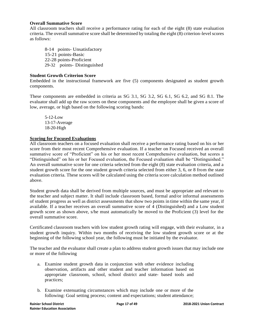#### **Overall Summative Score**

All classroom teachers shall receive a performance rating for each of the eight (8) state evaluation criteria. The overall summative score shall be determined by totaling the eight (8) criterion-level scores as follows:

8-14 points- Unsatisfactory 15-21 points-Basic 22-28 points-Proficient 29-32 points- Distinguished

#### **Student Growth Criterion Score**

Embedded in the instructional framework are five (5) components designated as student growth components.

These components are embedded in criteria as SG 3.1, SG 3.2, SG 6.1, SG 6.2, and SG 8.1. The evaluator shall add up the raw scores on these components and the employee shall be given a score of low, average, or high based on the following scoring bands:

5-12-Low 13-17-Average 18-20-High

#### **Scoring for Focused Evaluations**

All classroom teachers on a focused evaluation shall receive a performance rating based on his or her score from their most recent Comprehensive evaluation. If a teacher on Focused received an overall summative score of "Proficient" on his or her most recent Comprehensive evaluation, but scores a "Distinguished" on his or her Focused evaluation, the Focused evaluation shall be "Distinguished." An overall summative score for one criteria selected from the eight (8) state evaluation criteria, and a student growth score for the one student growth criteria selected from either 3, 6, or 8 from the state evaluation criteria. These scores will be calculated using the criteria score calculation method outlined above.

Student growth data shall be derived from multiple sources, and must be appropriate and relevant to the teacher and subject matter. It shall include classroom based, formal and/or informal assessments of student progress as well as district assessments thatshow two points in time within the same year, if available. If a teacher receives an overall summative score of 4 (Distinguished) and a Low student growth score as shown above, s/he must automatically be moved to the Proficient (3) level for the overall summative score.

Certificated classroom teachers with low student growth rating will engage, with their evaluator, in a student growth inquiry. Within two months of receiving the low student growth score or at the beginning of the following school year, the following must be initiated by the evaluator.

The teacher and the evaluator shall create a plan to address student growth issues that may include one or more of the following

- a. Examine student growth data in conjunction with other evidence including observation, artifacts and other student and teacher information based on appropriate classroom, school, school district and state- based tools and practices;
- b. Examine extenuating circumstances which may include one or more of the following: Goal setting process; content and expectations; student attendance;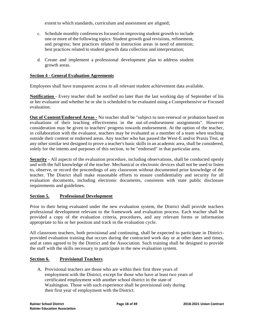extent to which standards, curriculum and assessment are aligned;

- c. Schedule monthly conferences focused on improving student growth to include one or more of the following topics: Student growth goal revisions, refinement, and progress; best practices related to instruction areas in need of attention; best practices related to student growth data collection and interpretation;
- d. Create and implement a professional development plan to address student growth areas.

#### **Section 4 - General Evaluation Agreements**

Employees shall have transparent access to all relevant student achievement data available.

**Notification** - Every teacher shall be notified no later than the last working day of September of his or her evaluator and whether he or she is scheduled to be evaluated using a Comprehensive or Focused evaluation.

**Out of Content/Endorsed Areas -** No teacher shall be "subject to non-renewal or probation based on evaluations of their teaching effectiveness in the out-of-endorsement assignments". However consideration may be given to teachers' progress towards endorsement. At the option of the teacher, in collaboration with the evaluator, teachers may be evaluated as a member of a team when teaching outside their content or endorsed areas. Any teacher who has passed the West-E and/or Praxis Test, or any other similar test designed to prove a teacher's basic skills in an academic area, shall be considered, solely for the intents and purposes of this section, to be "endorsed" in that particular area.

**Security** - All aspects of the evaluation procedure, including observations, shall be conducted openly and with the full knowledge of the teacher. Mechanical or electronic devices shall not be used to listen to, observe, or record the proceedings of any classroom without documented prior knowledge of the teacher. The District shall make reasonable efforts to ensure confidentiality and security for all evaluation documents, including electronic documents, consistent with state public disclosure requirements and guidelines.

#### **Section 5. Professional Development**

Prior to their being evaluated under the new evaluation system, the District shall provide teachers professional development relevant to the framework and evaluation process. Each teacher shall be provided a copy of the evaluation criteria, procedures, and any relevant forms or information appropriate to his or her position and track in the evaluation cycle.

All classroom teachers, both provisional and continuing, shall be expected to participate in Districtprovided evaluation training that occurs during the contracted work day or at other dates and times, and at rates agreed to by the District and the Association. Such training shall be designed to provide the staff with the skills necessary to participate in the new evaluation system.

#### **Section 6. Provisional Teachers**

A. Provisional teachers are those who are within their first three years of employment with the District, except for those who have at least two years of certificated employment with another school district in the state of Washington. Those with such experience shall be provisional only during their first year of employment with the District.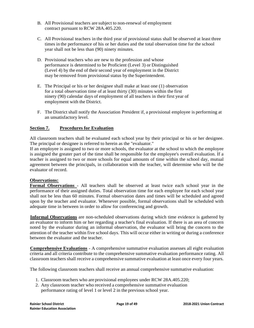- B. All Provisional teachers are subject to non-renewal of employment contract pursuant to RCW 28A.405.220.
- C. All Provisional teachers in the third year of provisional status shall be observed at least three times in the performance of his or her duties and the total observation time for the school year shall not be less than (90) ninety minutes.
- D. Provisional teachers who are new to the profession and whose performance is determined to be Proficient (Level 3) or Distinguished (Level 4) by the end of their second year of employment in the District may be removed from provisional status by the Superintendent.
- E. The Principal or his or her designee shall make at least one (1) observation for a total observation time of at least thirty (30) minutes within the first ninety (90) calendar days of employment of all teachers in their first year of employment with the District.
- F. The District shall notify the Association President if, a provisional employee is performing at an unsatisfactory level.

#### **Section 7. Procedures for Evaluation**

All classroom teachers shall be evaluated each school year by their principal or his or her designee. The principal or designee is referred to herein as the "evaluator."

If an employee is assigned to two or more schools, the evaluator at the school to which the employee is assigned the greater part of the time shall be responsible for the employee's overall evaluation. If a teacher is assigned to two or more schools for equal amounts of time within the school day, mutual agreement between the principals, in collaboration with the teacher, will determine who will be the evaluator of record.

#### **Observations:**

**Formal Observations** - All teachers shall be observed at least twice each school year in the performance of their assigned duties. Total observation time for each employee for each school year shall not be less than 60 minutes. Formal observation dates and times will be scheduled and agreed upon by the teacher and evaluator. Whenever possible, formal observations shall be scheduled with adequate time in between in order to allow for conferencing and growth.

**Informal Observations** are non-scheduled observations during which time evidence is gathered by an evaluator to inform him or her regarding a teacher's final evaluation. If there is an area of concern noted by the evaluator during an informal observation, the evaluator will bring the concern to the attention of the teacher within five school days. This will occur either in writing or during a conference between the evaluator and the teacher.

**Comprehensive Evaluations** - A comprehensive summative evaluation assesses all eight evaluation criteria and all criteria contribute to the comprehensive summative evaluation performance rating. All classroom teachers shall receive a comprehensive summative evaluation at least once every four years.

The following classroom teachers shall receive an annual comprehensive summative evaluation:

- 1. Classroom teachers who are provisional employees under RCW 28A.405.220;
- 2. Any classroom teacher who received a comprehensive summative evaluation performance rating of level 1 or level 2 in the previous school year.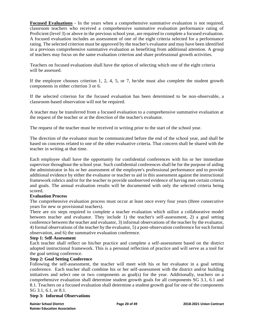**Focused Evaluations** - In the years when a comprehensive summative evaluation is not required, classroom teachers who received a comprehensive summative evaluation performance rating of Proficient (level 3) or above in the previous school year, are required to complete a focused evaluation. A focused evaluation includes an assessment of one of the eight criteria selected for a performance rating. The selected criterion must be approved by the teacher's evaluator and may have been identified in a previous comprehensive summative evaluation as benefiting from additional attention. A group of teachers may focus on the same evaluation criterion and share professional growth activities.

Teachers on focused evaluations shall have the option of selecting which one of the eight criteria will be assessed.

If the employee chooses criterion 1, 2, 4, 5, or 7, he/she must also complete the student growth components in either criterion 3 or 6.

If the selected criterion for the focused evaluation has been determined to be non-observable, a classroom-based observation will not be required.

A teacher may be transferred from a focused evaluation to a comprehensive summative evaluation at the request of the teacher or at the direction of the teacher's evaluator.

The request of the teacher must be received in writing prior to the start of the school year.

The direction of the evaluator must be communicated before the end of the school year, and shall be based on concerns related to one of the other evaluative criteria. That concern shall be shared with the teacher in writing at that time.

Each employee shall have the opportunity for confidential conferences with his or her immediate supervisor throughout the school year. Such confidential conferences shall be for the purpose of aiding the administrator in his or her assessment of the employee's professional performance and to provide additional evidence by either the evaluator or teacher to aid in this assessment against the instructional framework rubrics and/or for the teacher to provide unobserved evidence of having met certain criteria and goals. The annual evaluation results will be documented with only the selected criteria being scored.

#### **Evaluation Process**

The comprehensive evaluation process must occur at least once every four years (three consecutive years for new or provisional teachers).

There are six steps required to complete a teacher evaluation which utilize a collaborative model between teacher and evaluator. They include 1) the teacher's self-assessment, 2) a goal setting conference between the teacher and evaluator, 3) informal observations of the teacher by the evaluator, 4) formal observations of the teacher by the evaluator, 5) a post-observation conference for each formal observation, and 6) the summative evaluation conference.

#### **Step 1: Self-Assessment**

Each teacher shall reflect on his/her practice and complete a self-assessment based on the district adopted instructional framework. This is a personal reflection of practice and will serve as a tool for the goal setting conference.

#### **Step 2: Goal Setting Conference**

Following the self-assessment, the teacher will meet with his or her evaluator in a goal setting conference. Each teacher shall combine his or her self-assessment with the district and/or building initiatives and select one or two components as goal(s) for the year. Additionally, teachers on a comprehensive evaluation shall determine student growth goals for all components SG 3.1, 6.1 and 8.1. Teachers on a focused evaluation shall determine a student growth goal for one of the components SG 3.1, 6.1, or 8.1.

#### **Step 3: Informal Observations**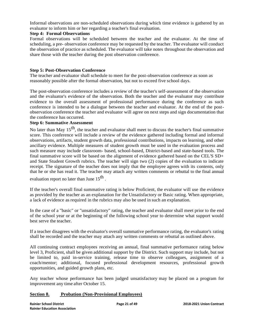Informal observations are non-scheduled observations during which time evidence is gathered by an evaluator to inform him or her regarding a teacher's final evaluation.

#### **Step 4: Formal Observations**

Formal observations will be scheduled between the teacher and the evaluator. At the time of scheduling, a pre- observation conference may be requested by the teacher. The evaluator will conduct the observation of practice as scheduled. The evaluator will take notes throughout the observation and share those with the teacher during the post observation conference.

#### **Step 5: Post-Observation Conference**

The teacher and evaluator shall schedule to meet for the post-observation conference as soon as reasonably possible after the formal observation, but not to exceed five school days.

The post-observation conference includes a review of the teacher's self-assessment of the observation and the evaluator's evidence of the observation. Both the teacher and the evaluator may contribute evidence to the overall assessment of professional performance during the conference as such conference is intended to be a dialogue between the teacher and evaluator. At the end of the postobservation conference the teacher and evaluator will agree on next steps and sign documentation that the conference has occurred.

#### **Step 6: Summative Assessment**

No later than May  $15<sup>th</sup>$ , the teacher and evaluator shall meet to discuss the teacher's final summative score. This conference will include a review of the evidence gathered including formal and informal observations, artifacts, student growth data, professional contributions, impacts on learning, and other ancillary evidence. Multiple measures of student growth must be used in the evaluation process and such measure may include classroom- based, school-based, District-based and state-based tools. The final summative score will be based on the alignment of evidence gathered based on the CEL'S SD+ and State Student Growth rubrics. The teacher will sign two (2) copies of the evaluation to indicate receipt. The signature of the teacher does not imply that the employee agrees with its contents, only that he or she has read it. The teacher may attach any written comments or rebuttal to the final annual evaluation report no later than June  $15^{\rm th}$  .

If the teacher's overall final summative rating is below Proficient, the evaluator will use the evidence as provided by the teacher as an explanation for the Unsatisfactory or Basic rating. When appropriate, a lack of evidence as required in the rubrics may also be used in such an explanation.

In the case of a "basic" or "unsatisfactory" rating, the teacher and evaluator shall meet prior to the end of the school year or at the beginning of the following school year to determine what support would best serve the teacher.

If a teacher disagrees with the evaluator's overall summative performance rating, the evaluator's rating shall be recorded and the teacher may attach any written comments or rebuttal as outlined above.

All continuing contract employees receiving an annual, final summative performance rating below level 3, Proficient, shall be given additional support by the District. Such support may include, but not be limited to, paid in-service training, release time to observe colleagues, assignment of a coach/mentor; additional, focused professional development resources, professional growth opportunities, and guided growth plans, etc.

Any teacher whose performance has been judged unsatisfactory may be placed on a program for improvement any time after October 15.

#### **Section 8. Probation (Non-Provisional Employees)**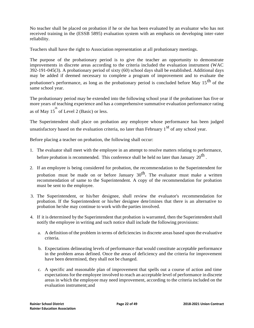No teacher shall be placed on probation if he or she has been evaluated by an evaluator who has not received training in the (ESSB 5895) evaluation system with an emphasis on developing inter-rater reliability.

Teachers shall have the right to Association representation at all probationary meetings.

The purpose of the probationary period is to give the teacher an opportunity to demonstrate improvements in discrete areas according to the criteria included the evaluation instrument (WAC 392-191-045(3). A probationary period of sixty (60) school days shall be established. Additional days may be added if deemed necessary to complete a program of improvement and to evaluate the

probationer's performance, as long as the probationary period is concluded before May  $15<sup>th</sup>$  of the same school year.

The probationary period may be extended into the following school year if the probationer has five or more years of teaching experience and has a comprehensive summative evaluation performance rating as of May  $15^{th}$  of Level 2 (Basic) or less.

The Superintendent shall place on probation any employee whose performance has been judged unsatisfactory based on the evaluation criteria, no later than February  $1<sup>st</sup>$  of any school year.

Before placing a teacher on probation, the following shall occur:

- 1. The evaluator shall meet with the employee in an attempt to resolve matters relating to performance, before probation is recommended. This conference shall be held no later than January  $20^{\text{th}}$ .
- 2. If an employee is being considered for probation, the recommendation to the Superintendent for probation must be made on or before January  $30<sup>th</sup>$ . The evaluator must make a written recommendation of same to the Superintendent. A copy of the recommendation for probation must be sent to the employee.
- 3. The Superintendent, or his/her designee, shall review the evaluator's recommendation for probation. If the Superintendent or his/her designee dete1mines that there is an alternative to probation he/she may continue to work with the parties involved.
- 4. If it is determined by the Superintendent that probation is warranted, then the Superintendentshall notify the employee in writing and such notice shall include the following provisions:
	- a. A definition of the problem in terms of deficiencies in discrete areas based upon the evaluative criteria.
	- b. Expectations delineating levels of performance that would constitute acceptable performance in the problem areas defined. Once the areas of deficiency and the criteria for improvement have been determined, they shall not be changed.
	- c. A specific and reasonable plan of improvement that spells out a course of action and time expectations for the employee involved to reach an acceptable level of performance in discrete areas in which the employee may need improvement, according to the criteria included on the evaluation instrument;and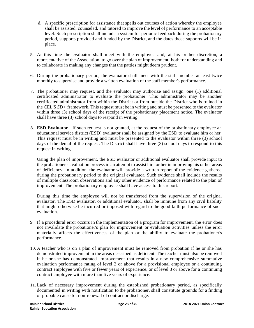- d. A specific prescription for assistance that spells out courses of action whereby the employee shall be assisted, counseled, and tutored to improve the level of performance to an acceptable level. Such prescription shall include a system for periodic feedback during the probationary period, supports provided and funded by the District, and the dates those supports will be in place.
- 5. At this time the evaluator shall meet with the employee and, at his or her discretion, a representative of the Association, to go over the plan of improvement, both for understanding and to collaborate in making any changes that the patties might deem prudent.
- 6. During the probationary period, the evaluator shall meet with the staff member at least twice monthly to supervise and provide a written evaluation of the staff member's performance.
- 7. The probationer may request, and the evaluator may authorize and assign, one (1) additional certificated administrator to evaluate the probationer. This administrator may be another certificated administrator from within the District or from outside the District who is trained in the CEL'S *SD+* framework. This request must be in writing and must be presented to the evaluator within three (3) school days of the receipt of the probationary placement notice. The evaluator shall have three (3) school days to respond in writing.
- 8. **ESD Evaluator** If such request is not granted, at the request of the probationary employee an educational service district (ESD) evaluator shall be assigned by the ESD to evaluate him or her. This request must be in writing and must be presented to the evaluator within three (3) school days of the denial of the request. The District shall have three (3) school days to respond to this request in writing.

Using the plan of improvement, the ESD evaluator or additional evaluator shall provide input to the probationer's evaluation process in an attempt to assist him or her in improving his or her areas of deficiency. In addition, the evaluator will provide a written report of the evidence gathered during the probationary period to the original evaluator. Such evidence shall include the results of multiple classroom observations and any other evidence of performance related to the plan of improvement. The probationary employee shall have access to this report.

During this time the employee will not be transferred from the supervision of the original evaluator. The ESD evaluator, or additional evaluator, shall be immune from any civil liability that might otherwise be incurred or imposed with regard to the good faith performance of such evaluation.

- 9. If a procedural error occurs in the implementation of a program for improvement, the error does not invalidate the probationer's plan for improvement or evaluation activities unless the error materially affects the effectiveness of the plan or the ability to evaluate the probationer's performance.
- 10. A teacher who is on a plan of improvement must be removed from probation if he or she has demonstrated improvement in the areas described as deficient. The teacher must also be removed if he or she has demonstrated improvement that results in a new comprehensive summative evaluation performance rating of level 2 or above for a provisional employee or a continuing contract employee with five or fewer years of experience, or of level 3 or above for a continuing contract employee with more than five years of experience.
- 11. Lack of necessary improvement during the established probationary period, as specifically documented in writing with notification to the probationer, shall constitute grounds for a finding of probable cause for non-renewal of contract or discharge.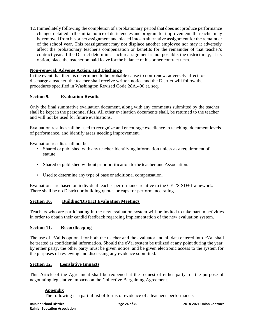12. Immediately following the completion of a probationary period that does not produce performance changes detailed in the initial notice of deficiencies and program for improvement, the teacher may be removed from his or her assignment and placed into an alternative assignment for the remainder of the school year. This reassignment may not displace another employee nor may it adversely affect the probationary teacher's compensation or benefits for the remainder of that teacher's contract year. If the District determines such reassignment is not possible, the district may, at its option, place the teacher on paid leave for the balance of his or her contract term.

#### **Non-renewal, Adverse Action, and Discharge**

In the event that there is determined to be probable cause to non-renew, adversely affect, or discharge a teacher, the teacher shall receive written notice and the District will follow the procedures specified in Washington Revised Code 28A.400 et. seq.

#### **Section 9. Evaluation Results**

Only the final summative evaluation document, along with any comments submitted by the teacher, shall be kept in the personnel files. All other evaluation documents shall, be returned to the teacher and will not be used for future evaluations.

Evaluation results shall be used to recognize and encourage excellence in teaching, document levels of performance, and identify areas needing improvement.

Evaluation results shall not be:

- Shared or published with any teacher-identifying information unless as a requirement of statute.
- Shared or published without prior notification to the teacher and Association.
- Used to determine any type of base or additional compensation.

Evaluations are based on individual teacher performance relative to the CEL'S SD+ framework. There shall be no District or building quotas or caps for performance ratings.

#### **Section 10. Building/District Evaluation Meetings**

Teachers who are participating in the new evaluation system will be invited to take part in activities in order to obtain their candid feedback regarding implementation of the new evaluation system.

#### **Section 11. Recordkeeping**

The use of eVal is optional for both the teacher and the evaluator and all data entered into eVal shall be treated as confidential information. Should the eVal system be utilized at any point during the year, by either party, the other party must be given notice, and be given electronic access to the system for the purposes of reviewing and discussing any evidence submitted.

#### **Section 12. Legislative Impacts**

This Article of the Agreement shall be reopened at the request of either party for the purpose of negotiating legislative impacts on the Collective Bargaining Agreement.

#### **Appendix**

The following is a partial list of forms of evidence of a teacher's performance: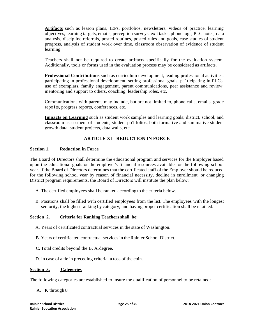**Artifacts** such as lesson plans, IEPs, portfolios, newsletters, videos of practice, learning objectives, learning targets, emails, perception surveys, exit tasks, phone logs, PLC notes, data analysis, discipline referrals, posted routines, posted rules and goals, case studies of student progress, analysis of student work over time, classroom observation of evidence of student learning.

Teachers shall not be required to create artifacts specifically for the evaluation system. Additionally, tools or forms used in the evaluation process may be considered as artifacts.

**Professional Contributions** such as curriculum development, leading professional activities, participating in professional development, setting professional goals, pa1ticipating in PLCs, use of exemplars, family engagement, parent communications, peer assistance and review, mentoring and support to others, coaching, leadership roles, etc.

Communications with parents may include, but are not limited to, phone calls, emails, grade repo1ts, progress reports, conferences, etc.

**Impacts on Learning** such as student work samples and learning goals; district, school, and classroom assessment of students; student po1tfolios, both formative and summative student growth data, student projects, data walls, etc.

#### **ARTICLE XI - REDUCTION IN FORCE**

#### **Section 1. Reduction in Force**

The Board of Directors shall determine the educational program and services for the Employer based upon the educational goals or the employer's financial resources available for the following school year. If the Board of Directors determines that the certificated staff of the Employer should be reduced for the following school year by reason of financial necessity, decline in enrollment, or changing District program requirements, the Board of Directors will institute the plan below:

- A. The certified employees shall be ranked according to the criteria below.
- B. Positions shall be filled with certified employees from the list. The employees with the longest seniority, the highest ranking by category, and having proper certification shall be retained.

#### **Section 2. Criteria for Ranking Teachers shall be:**

- A. Years of certificated contractual services in the state of Washington.
- B. Years of certificated contractual services in theRainier School District.
- C. Total credits beyond the B. A.degree.
- D. In case of a tie in preceding criteria, a toss of the coin.

#### **Section 3. Categories**

The following categories are established to insure the qualification of personnel to be retained:

A. K through 8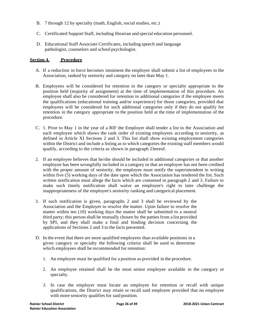- B. 7 through 12 by specialty (math, English, social studies, etc.)
- C. Certificated Support Staff, including librarian and special education personnel.
- D. Educational Staff Associate Certificates, including speech and language pathologist, counselors and school psychologist.

#### **Section 4. Procedure**

- A. If a reduction in force becomes imminent the employer shall submit a list of employees to the Association, ranked by seniority and category no later than May 1.
- B. Employees will be considered for retention in the category or specialty appropriate to the position held (majority of assignment) at the time of implementation of this procedure. An employee shall also be considered for retention in additional categories if the employee meets the qualifications (educational training and/or experience) for those categories, provided that employees will be considered for such additional categories only if they do not qualify for retention in the category appropriate to the position held at the time of implementation of the procedure.
- C. 1. Prior to May 1 in the year of a RIF the Employer shall tender a list to the Association and each employee which shows the rank order of existing employees according to seniority, as defined in Article XI Sections 2 and 3. This list shall show existing employment categories within the District and include a listing as to which categories the existing staff members would qualify, according to the criteria as shown in paragraph 2hereof.
- 2. If an employee believes that he/she should be included in additional categories or that another employee has been wrongfully included in a category or that an employee has not been credited with the proper amount of seniority, the employee must notify the superintendent in writing within five (5) working days of the date upon which the Association has tendered the list. Such written notification must allege the facts which are contained in paragraph 2 and 3. Failure to make such timely notification shall waive an employee's right to later challenge the inappropriateness of the employee's seniority ranking and categorical placement.
- 3. If such notification is given, paragraphs 2 and 3 shall be reviewed by the Association and the Employer to resolve the matter. Upon failure to resolve the matter within ten (10) working days the matter shall be submitted to a neutral third party; this person shall be mutually chosen by the patties from a list provided by SPI, and they shall make a final and binding decision concerning the applications of Sections 2 and 3 to the facts presented.
- D. In the event that there are more qualified employees than available positions in a given category or specialty the following criteria shall be used to determine which employees shall be recommended for retention:
	- 1. An employee must be qualified for a position as provided in the procedure.
	- 2. An employee retained shall be the most senior employee available in the category or specialty.
	- 3. In case the employer must locate an employee for retention or recall with unique qualifications, the District may retain or recall said employee provided that no employee with more seniority qualifies for said position.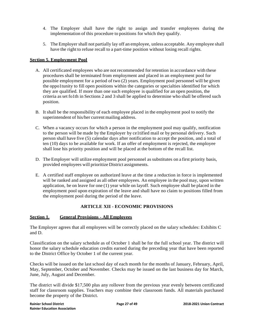- 4. The Employer shall have the right to assign and transfer employees during the implementation of this procedure to positions for which they qualify.
- 5. The Employer shall not partially lay off an employee, unless acceptable. Any employee shall have the right to refuse recall to a part-time position without losing recall rights.

#### **Section 5. Employment Pool**

- A. All certificated employees who are not recommended for retention in accordance with these procedures shall be terminated from employment and placed in an employment pool for possible employment for a period of two (2) years. Employment pool personnel will be given the oppo1tunity to fill open positions within the categories or specialties identified for which they are qualified. If more than one such employee is qualified for an open position, the criteria asset fo1th in Sections 2 and 3 shall be applied to determine who shall be offered such position.
- B. It shall be the responsibility of each employee placed in the employment pool to notify the superintendent of his/her current mailing address.
- C. When a vacancy occurs for which a person in the employment pool may qualify, notification to the person will be made by the Employer by ce1tified mail or by personal delivery. Such person shall have five (5) calendar days after notification to accept the position, and a total of ten (10) days to be available for work. If an offer of employment is rejected, the employee shall lose his priority position and will be placed at the bottom of the recall list.
- D. The Employer will utilize employment pool personnel as substitutes on a first priority basis, provided employees will prioritize District assignments.
- E. A certified staff employee on authorized leave at the time a reduction in force is implemented will be ranked and assigned as all other employees. An employee in the pool may, upon written application, be on leave for one (1) year while on layoff. Such employee shall be placed in the employment pool upon expiration of the leave and shall have no claim to positions filled from the employment pool during the period of the leave.

#### **ARTICLE XII - ECONOMIC PROVISIONS**

#### **Section 1. General Provisions - All Employees**

The Employer agrees that all employees will be correctly placed on the salary schedules: Exhibits C and D.

Classification on the salary schedule as of October 1 shall be for the full school year. The district will honor the salary schedule education credits earned during the preceding year that have been reported to the District Office by October 1 of the current year.

Checks will be issued on the last school day of each month for the months of January, February, April, May, September, October and November. Checks may be issued on the last business day for March, June, July, August and December.

The district will divide \$17,500 plus any rollover from the previous year evenly between certificated staff for classroom supplies. Teachers may combine their classroom funds. All materials purchased become the property of the District.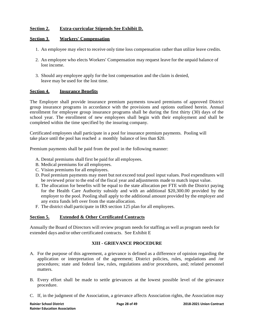#### **Section 2. Extra-curricular Stipends See Exhibit D.**

#### **Section 3**. **Workers' Compensation**

- 1. An employee may elect to receive only time loss compensation rather than utilize leave credits.
- 2. An employee who elects Workers' Compensation may request leave for the unpaid balance of lost income.
- 3. Should any employee apply for the lost compensation and the claim is denied, leave may be used for the lost time.

#### **Section 4. Insurance Benefits**

The Employer shall provide insurance premium payments toward premiums of approved District group insurance programs in accordance with the provisions and options outlined herein. Annual enrollment for employee group insurance programs shall be during the first thirty (30) days of the school year. The enrollment of new employees shall begin with their employment and shall be completed within the time specified by the insuring company.

Certificated employees shall participate in a pool for insurance premium payments. Pooling will take place until the pool has reached a monthly balance of less than \$20.

Premium payments shall be paid from the pool in the following manner:

- A. Dental premiums shall first be paid for all employees.
- B. Medical premiums for all employees.
- C. Vision premiums for all employees.
- D. Pool premium payments may meet but not exceed total pool input values. Pool expenditures will be reviewed prior to the end of the fiscal year and adjustments made to match input value.
- E. The allocation for benefits will be equal to the state allocation per FTE with the District paying for the Health Care Authority subsidy and with an additional \$20,300.00 provided by the employer to the pool. Pooling shall apply to the additional amount provided by the employer and any extra funds left over from the state allocation.
- F. The district shall participate in IRS section 125 plan for all employees.

#### **Section 5. Extended & Other Certificated Contracts**

Annually the Board of Directors will review program needs for staffing as well as program needs for extended days and/or other certificated contracts. See Exhibit E

#### **XIII - GRIEVANCE PROCEDURE**

- A. For the purpose of this agreement, a grievance is defined as a difference of opinion regarding the application or interpretation of the agreement; District policies, rules, regulations and /or procedures; state and federal law, rules, regulations and/or procedures, and; related personnel matters.
- B. Every effort shall be made to settle grievances at the lowest possible level of the grievance procedure.
- C. If, in the judgment of the Association, a grievance affects Association rights, the Association may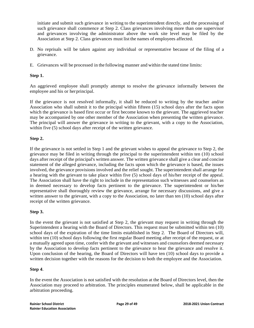initiate and submit such grievance in writing to the superintendent directly, and the processing of such grievance shall commence at Step 2. Class grievances involving more than one supervisor and grievances involving the administrator above the work site level may be filed by the Association at Step 2. Class grievances must list the names of employees affected.

- D. No reprisals will be taken against any individual or representative because of the filing of a grievance.
- E. Grievances will be processed in the following manner and within the stated time limits:

#### **Step 1.**

An aggrieved employee shall promptly attempt to resolve the grievance informally between the employee and his or herprincipal.

If the grievance is not resolved informally, it shall be reduced to writing by the teacher and/or Association who shall submit it to the principal within fifteen (15) school days after the facts upon which the grievance is based first occur or first become known to the grievant. The aggrieved teacher may be accompanied by one other member of the Association when presenting the written grievance. The principal will answer the grievance in writing to the grievant, with a copy to the Association, within five (5) school days after receipt of the written grievance.

#### **Step 2.**

If the grievance is not settled in Step 1 and the grievant wishes to appeal the grievance to Step 2, the grievance may be filed in writing through the principal to the superintendent within ten (10) school days after receipt of the principal's written answer. The written grievance shall give a clear and concise statement of the alleged grievance, including the facts upon which the grievance is based, the issues involved, the grievance provisions involved and the relief sought. The superintendent shall arrange for a hearing with the grievant to take place within five (5) school days of his/her receipt of the appeal. The Association shall have the right to include in the representation such witnesses and counselors as in deemed necessary to develop facts pertinent to the grievance. The superintendent or his/her representative shall thoroughly review the grievance, arrange for necessary discussions, and give a written answer to the grievant, with a copy to the Association, no later than ten (10) school days after receipt of the written grievance.

#### **Step 3.**

In the event the grievant is not satisfied at Step 2, the grievant may request in writing through the Superintendent a hearing with the Board of Directors. This request must be submitted within ten (10) school days of the expiration of the time limits established in Step 2. The Board of Directors will, within ten (10) school days following the first regular Board meeting after receipt of the request, or at a mutually agreed upon time, confer with the grievant and witnesses and counselors deemed necessary by the Association to develop facts pertinent to the grievance to hear the grievance and resolve it. Upon conclusion of the hearing, the Board of Directors will have ten (10) school days to provide a written decision together with the reasons for the decision to both the employee and the Association.

#### **Step 4**.

In the event the Association is not satisfied with the resolution at the Board of Directors level, then the Association may proceed to arbitration. The principles enumerated below, shall be applicable in the arbitration proceeding.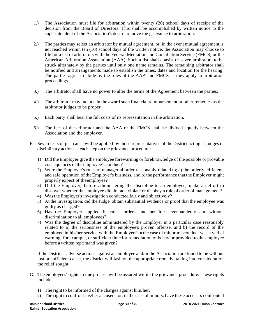- 1.) The Association must file for arbitration within twenty (20) school days of receipt of the decision from the Board of Directors. This shall be accomplished by written notice to the superintendent of the Association's desire to move the grievance to arbitration.
- 2.) The parties may select an arbitrator by mutual agreement, or, in the event mutual agreement is not reached within ten (10) school days of the written notice, the Association may choose to file for a list of arbitrators with the Federal Mediation and Conciliation Service (FMCS) or the American Arbitration Association (AAA). Such a list shall consist of seven arbitrators to be struck alternately by the parties until only one name remains. The remaining arbitrator shall be notified and arrangements made to establish the times, dates and location for the hearing. The parties agree to abide by the rules of the AAA and FMCS as they apply to arbitration proceedings.
- 3.) The arbitrator shall have no power to alter the terms of the Agreement between the parties.
- 4.) The arbitrator may include in the award such financial reimbursement or other remedies as the arbitrator judges to be proper.
- 5.) Each party shall bear the full costs of its representation in the arbitration.
- 6.) The fees of the arbitrator and the AAA or the FMCS shall be divided equally between the Association and the employer.
- F. Seven tests of just cause will be applied by those representatives of the District acting as judges of disciplinary actions at each step on the grievance procedure:
	- 1) Did the Employer give the employee forewarning or foreknowledge of the possible or provable consequences ofthe employee's conduct?
	- 2) Were the Employer's rules of managerial order reasonably related to; a) the orderly, efficient, and safe operation of the Employer's business, and b) the performance that the Employer might properly expect of theemployee?
	- 3) Did the Employer, before administering the discipline to an employee, make an effort to discover whether the employee did, in fact, violate or disobey a rule of order of management?
	- 4) WastheEmployer's investigation conducted fairly and objectively?
	- 5) At the investigation, did the Judge' obtain substantial evidence or proof that the employee was guilty as charged?
	- 6) Has the Employer applied its rules, orders, and penalties evenhandedly and without discrimination to all employees?
	- 7) Was the degree of discipline administered by the Employer in a particular case reasonably related to a) the seriousness of the employee's proven offense, and b) the record of the employee in his/her service with the Employer? In the case of minor misconduct was a verbal warning, for example, or sufficient time for remediation of behavior provided to the employee before a written reprimand was given?

If the District's adverse actions against an employee and/or the Association are found to be without just or sufficient cause, the district will fashion the appropriate remedy, taking into consideration the relief sought.

- G. The employees' rights to due process will be assured within the grievance procedure. These rights include:
	- 1) The right to be informed of the charges against him/her.
	- 2) The right to confront his/her accusers, or, in the case of minors, have these accusers confronted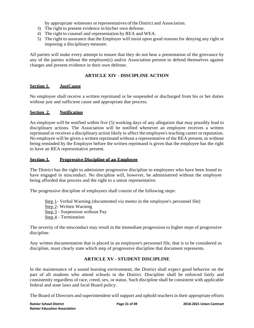by appropriate witnesses or representatives of the District and Association.

- 3) The right to present evidence in his/her own defense.
- 4) The right to counsel and representation by REA and WEA.
- 5) The right to assurance that the Employer will insist upon good reasons for denying any right or imposing a disciplinary measure.

All parties will make every attempt to ensure that they do not hear a presentation of the grievance by any of the parties without the employee(s) and/or Association present to defend themselves against charges and present evidence in their own defense.

#### **ARTICLE XIV - DISCIPLINE ACTION**

#### **Section 1. JustCause**

No employee shall receive a written reprimand or be suspended or discharged from his or her duties without just and sufficient cause and appropriate due process.

#### **Section 2. Notification**

An employee will be notified within five (5) working days of any allegation that may possibly lead to disciplinary actions. The Association will be notified whenever an employee receives a written reprimand or receives a disciplinary action likely to affect the employee's teaching career or reputation. No employee will be given a written reprimand without a representative of the REA present, or without being reminded by the Employer before the written reprimand is given that the employee has the right to have an REA representative present.

#### **Section 3. Progressive Discipline of an Employee**

The District has the right to administer progressive discipline to employees who have been found to have engaged in misconduct. No discipline will, however, be administered without the employee being afforded due process and the right to a union representative.

The progressive discipline of employees shall consist of the following steps:

- Step 1- Verbal Warning (documented via memo in the employee's personnel file)
- Step 2- Written Warning
- Step 3 Suspension without Pay
- Step 4 Termination

The severity of the misconduct may result in the immediate progression to higher steps of progressive discipline.

Any written documentation that is placed in an employee's personnel file, that is to be considered as discipline, must clearly state which step of progressive discipline that document represents.

#### **ARTICLE XV - STUDENT DISCIPLINE**

In the maintenance of a sound learning environment, the District shall expect good behavior on the part of all students who attend schools in the District. Discipline shall be enforced fairly and consistently regardless of race, creed, sex, or status. Such discipline shall be consistent with applicable federal and state laws and local Board policy.

The Board of Directors and superintendent will support and uphold teachers in their appropriate efforts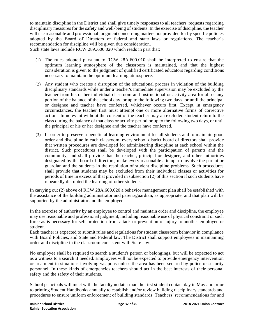to maintain discipline in the District and shall give timely responses to all teachers' requests regarding disciplinary measures for the safety and well-being of students. In the exercise of discipline, the teacher will use reasonable and professional judgment concerning matters not provided for by specific policies adopted by the Board of Directors or federal and state laws or regulations. The teacher's recommendation for discipline will be given due consideration.

Such state laws include RCW 28A.600.020 which reads in part that:

- (1) The rules adopted pursuant to RCW 28A.600.010 shall be interpreted to ensure that the optimum learning atmosphere of the classroom is maintained, and that the highest consideration is given to the judgment of qualified certificated educators regarding conditions necessary to maintain the optimum learning atmosphere.
- (2) Any student who creates a disruption of the educational process in violation of the building disciplinary standards while under a teacher's immediate supervision may be excluded by the teacher from his or her individual classroom and instructional or activity area for all or any portion of the balance of the school day, or up to the following two days, or until the principal or designee and teacher have conferred, whichever occurs first. Except in emergency circumstances, the teacher first must attempt one or more alternative forms of corrective action. In no event without the consent of the teacher may an excluded student return to the class during the balance of that class or activity period or up to the following two days, or until the principal or his or her designee and the teacher have conferred.
- (3) In order to preserve a beneficial learning environment for all students and to maintain good order and discipline in each classroom, every school district board of directors shall provide that written procedures are developed for administering discipline at each school within the district. Such procedures shall be developed with the participation of parents and the community, and shall provide that the teacher, principal or designee, and other authorities designated by the board of directors, make every reasonable attempt to involve the parent or guardian and the students in the resolution of student discipline problems. Such procedures shall provide that students may be excluded from their individual classes or activities for periods of time in excess of that provided in subsection (2) of this section if such students have repeatedly disrupted the learning of other students.

In carrying out (2) above of RCW 28A.600.020 a behavior management plan shall be established with the assistance of the building administrator and parent/guardian, as appropriate, and that plan will be supported by the administrator and the employee.

In the exercise of authority by an employee to control and maintain order and discipline, the employee may use reasonable and professional judgment, including reasonable use of physical constraint or such force as is necessary for self-protection from attack or prevention of injury to another employee or student.

Each teacher is expected to submit rules and regulations for student classroom behavior in compliance with Board Policies, and State and Federal law. The District shall support employees in maintaining order and discipline in the classroom consistent with State law.

No employee shall be required to search a student's person or belongings, but will be expected to act as a witness to a search if needed. Employees will not be expected to provide emergency intervention or treatment in situations involving weapons unless the area has been secured by police or security personnel. In these kinds of emergencies teachers should act in the best interests of their personal safety and the safety of their students.

School principals will meet with the faculty no later than the first student contact day in May and prior to printing Student Handbooks annually to establish and/or review building disciplinary standards and procedures to ensure uniform enforcement of building standards. Teachers' recommendations for and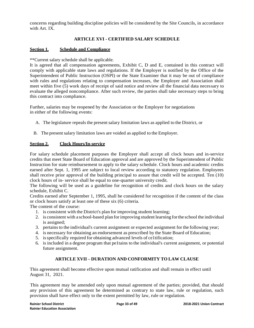concerns regarding building discipline policies will be considered by the Site Councils, in accordance with Art. IX.

### **ARTICLE XVI - CERTIFIED SALARY SCHEDULE**

#### **Section 1. Schedule and Compliance**

\*\*Current salary schedule shall be applicable.

It is agreed that all compensation agreements, Exhibit C, D and E, contained in this contract will comply with applicable state laws and regulations. If the Employer is notified by the Office of the Superintendent of Public Instruction (OSPI) or the State Examiner that it may be out of compliance with rules and regulations relating to compensation increases, the Employer and Association shall meet within five (5) work days of receipt of said notice and review all the financial data necessary to evaluate the alleged noncompliance. After such review, the parties shall take necessary steps to bring this contract into compliance.

Further, salaries may be reopened by the Association or the Employer for negotiations in either of the following events:

- A. The legislature repeals the present salary limitation laws as applied to the District, or
- B. The present salary limitation laws are voided as applied to the Employer.

#### **Section 2. Clock Hours/In-service**

For salary schedule placement purposes the Employer shall accept all clock hours and in-service credits that meet State Board of Education approval and are approved by the Superintendent of Public Instruction for state reimbursement to apply to the salary schedule. Clock hours and academic credits earned after Sept. 1, 1995 are subject to local review according to statutory regulation. Employees shall receive prior approval of the building principal to assure that credit will be accepted. Ten (10) clock hours of in- service shall be equal to one-quarter university credit.

The following will be used as a guideline for recognition of credits and clock hours on the salary schedule, Exhibit C.

Credits earned after September 1, 1995, shall be considered for recognition if the content of the class or clock hours satisfy at least one of these six (6) criteria.

The content of the course:

- 1. is consistent with the District's plan for improving student learning;
- 2. is consistent with a school-based plan for improving student learning forthe school the individual is assigned;
- 3. pertains to the individual's current assignment or expected assignment for the following year;
- 4. is necessary for obtaining an endorsement as prescribed by the State Board of Education;
- 5. isspecifically required for obtaining advanced levels of ce1tification;
- 6. is included in a degree program that pe1tains to the individual's current assignment, or potential future assignment.

#### **ARTICLE XVII – DURATION AND CONFORMITY TO LAW CLAUSE**

This agreement shall become effective upon mutual ratification and shall remain in effect until August 31, 2021.

This agreement may be amended only upon mutual agreement of the parties; provided, that should any provision of this agreement be determined as contrary to state law, rule or regulation, such provision shall have effect only to the extent permitted by law, rule or regulation.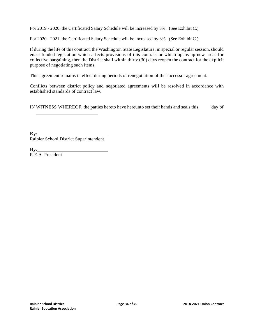For 2019 - 2020, the Certificated Salary Schedule will be increased by 3%. (See Exhibit C.)

For 2020 - 2021, the Certificated Salary Schedule will be increased by 3%. (See Exhibit C.)

If during the life of this contract, the Washington State Legislature, in special or regular session, should enact funded legislation which affects provisions of this contract or which opens up new areas for collective bargaining, then the District shall within thirty (30) days reopen the contract for the explicit purpose of negotiating such items.

This agreement remains in effect during periods of renegotiation of the successor agreement.

Conflicts between district policy and negotiated agreements will be resolved in accordance with established standards of contract law.

IN WITNESS WHEREOF, the patties hereto have hereunto set their hands and seals this day of

By: Rainier School District Superintendent

By: R.E.A. President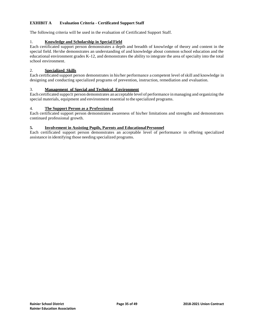#### **EXHIBIT A Evaluation Criteria - Certificated Support Staff**

The following criteria will be used in the evaluation of Certificated Support Staff.

#### 1. **Knowledge and Scholarship in Special Field**

Each certificated support person demonstrates a depth and breadth of knowledge of theory and content in the special field. He/she demonstrates an understanding of and knowledge about common school education and the educational environment grades K-12, and demonstrates the ability to integrate the area of specialty into the total school environment.

#### 2. **Specialized Skills**

Each certificated support person demonstrates in his/her performance a competent level ofskill and knowledge in designing and conducting specialized programs of prevention, instruction, remediation and evaluation.

#### 3. **Management of Special and Technical Environment**

Each certificated suppo1t person demonstrates an acceptable level of performance inmanaging and organizing the special materials, equipment and environment essential to the specialized programs.

#### 4. **The Support Person as a Professional**

Each certificated support person demonstrates awareness of his/her limitations and strengths and demonstrates continued professional growth.

#### **5. Involvement in Assisting Pupils, Parents and EducationalPersonnel**

Each certificated support person demonstrates an acceptable level of performance in offering specialized assistance in identifying those needing specialized programs.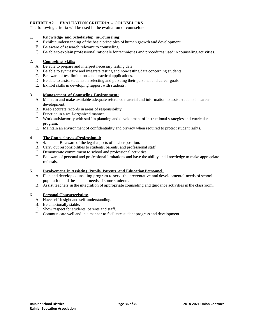#### **EXHIBIT A2 EVALUATION CRITERIA -- COUNSELORS**

The following criteria will be used in the evaluation of counselors.

#### **1. Knowledge and Scholarship inCounseling:**

- A. Exhibit understanding of the basic principles of human growth and development.
- B. Be aware of research relevant to counseling.
- C. Be able to explain professional rationale for techniques and procedures used in counseling activities.

#### 2. **Counseling Skills:**

- A. Be able to prepare and interpret necessary testing data.
- B. Be able to synthesize and integrate testing and non-testing data concerning students.
- C. Be aware of test limitations and practical applications.
- D. Be able to assist students in selecting and pursuing their personal and career goals.
- E. Exhibit skills in developing rapport with students.

#### 3. **Management of Counseling Environment:**

- A. Maintain and make available adequate reference material and information to assist students in career development.
- B. Keep accurate records in areas of responsibility.
- C. Function in a well-organized manner.
- D. Work satisfactorily with staff in planning and development of instructional strategies and curricular program.
- E. Maintain an environment of confidentiality and privacy when required to protect student rights.

## 4. **The Counselor as a Professional:**<br>A. 4. Be aware of the legal aspectral

- Be aware of the legal aspects of his/her position.
- B. Carry out responsibilities to students, parents, and professional staff.
- C. Demonstrate commitment to school and professional activities.
- D. Be aware of personal and professional limitations and have the ability and knowledge to make appropriate referrals.

#### 5. **Involvement in Assisting Pupils, Parents and EducationPersonnel:**

- A. Plan and develop counseling program to serve the preventative and developmental needs of school population and the special needs of some students.
- B. Assist teachers in the integration of appropriate counseling and guidance activities in the classroom.

#### 6. **Personal Characteristics:**

- A. Have self-insight and self-understanding.
- B. Be emotionally stable.
- C. Show respect for students, parents and staff.
- D. Communicate well and in a manner to facilitate student progress and development.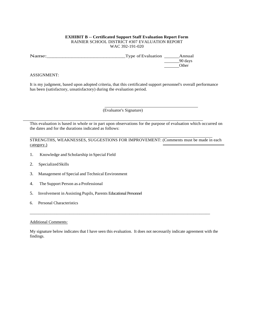#### **EXHIBIT B -- Certificated Support Staff Evaluation Report Form** RAINIER SCHOOL DISTRICT #307 EVALUATION REPORT WAC 392-191-020

Name:\_\_\_\_\_\_\_\_\_\_\_\_\_\_\_\_\_\_\_\_\_\_\_\_\_Type of Evaluation Annual 90 days Other

#### ASSIGNMENT:

It is my judgment, based upon adopted criteria, that this certificated support personnel's overall performance has been (satisfactory, unsatisfactory) during the evaluation period.

(Evaluator's Signature)

This evaluation is based in whole or in part upon observations for the purpose of evaluation which occurred on the dates and for the durations indicated as follows:

STRENGTHS, WEAKNESSES, SUGGESTIONS FOR IMPROVEMENT: (Comments must be made in each category.)

- 1. Knowledge and Scholarship in Special Field
- 2. SpecializedSkills
- 3. Management of Special and Technical Environment
- 4. The Support Person as a Professional
- 5. Involvement in Assisting Pupils, Parents Educational Personnel
- 6. Personal Characteristics

#### Additional Comments:

My signature below indicates that I have seen this evaluation. It does not necessarily indicate agreement with the findings.

\_\_\_\_\_\_\_\_\_\_\_\_\_\_\_\_\_\_\_\_\_\_\_\_\_\_\_\_\_\_\_\_\_\_\_\_\_\_\_\_\_\_\_\_\_\_\_\_\_\_\_\_\_\_\_\_\_\_\_\_\_\_\_\_\_\_\_\_\_\_\_\_\_\_\_\_\_\_\_\_\_\_\_\_\_\_\_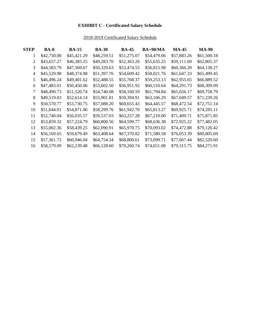## **EXHIBIT C - Certificated Salary Schedule**

## 2018-2019 Certificated Salary Schedule

| <b>STEP</b>    | <b>BA-0</b> | <b>BA-15</b> | <b>BA-30</b> | <b>BA-45</b> | <b>BA+90/MA</b> | <b>MA-45</b> | <b>MA-90</b> |
|----------------|-------------|--------------|--------------|--------------|-----------------|--------------|--------------|
| 1              | \$42,750.00 | \$45,421.29  | \$48,259.51  | \$51,275.07  | \$54,479.06     | \$57,883.26  | \$61,500.18  |
| $\overline{2}$ | \$43,657.27 | \$46,385.25  | \$49,283.70  | \$52,363.26  | \$55,635.25     | \$59,111.69  | \$62,805.37  |
| 3              | \$44,583.79 | \$47,369.67  | \$50,329.63  | \$53,474.55  | \$56,815.98     | \$60,366.20  | \$64,138.27  |
| $\overline{4}$ | \$45,529.98 | \$48,374.98  | \$51,397.76  | \$54,609.42  | \$58,021.76     | \$61,647.33  | \$65,499.45  |
| 5              | \$46,496.24 | \$49,401.62  | \$52,488.55  | \$55,768.37  | \$59,253.13     | \$62,955.65  | \$66,889.52  |
| 6              | \$47,483.01 | \$50,450.06  | \$53,602.50  | \$56,951.92  | \$60,510.64     | \$64,291.73  | \$68,309.09  |
| 7              | \$48,490.73 | \$51,520.74  | \$54,740.08  | \$58,160.59  | \$61,794.84     | \$65,656.17  | \$69,758.79  |
| 8              | \$49,519.83 | \$52,614.14  | \$55,901.81  | \$59,394.91  | \$63,106.29     | \$67,049.57  | \$71,239.26  |
| 9              | \$50,570.77 | \$53,730.75  | \$57,088.20  | \$60,655.43  | \$64,445.57     | \$68,472.54  | \$72,751.14  |
| 10             | \$51,644.01 | \$54,871.06  | \$58,299.76  | \$61,942.70  | \$65,813.27     | \$69,925.71  | \$74,295.11  |
| 11             | \$52,740.04 | \$56,035.57  | \$59,537.03  | \$63,257.28  | \$67,210.00     | \$71,409.71  | \$75,871.85  |
| 12             | \$53,859.32 | \$57,224.79  | \$60,800.56  | \$64,599.77  | \$68,636.38     | \$72,925.22  | \$77,482.05  |
| 13             | \$55,002.36 | \$58,439.25  | \$62,090.91  | \$65,970.75  | \$70,093.02     | \$74,472.88  | \$79,126.42  |
| 14             | \$56,169.65 | \$59,679.49  | \$63,408.64  | \$67,370.82  | \$71,580.58     | \$76,053.39  | \$80,805.69  |
| 15             | \$57,361.72 | \$60,946.04  | \$64,754.34  | \$68,800.61  | \$73,099.71     | \$77,667.44  | \$82,520.60  |
| 16             | \$58,579.09 | \$62,239.48  | \$66,128.60  | \$70,260.74  | \$74,651.08     | \$79,315.75  | \$84,271.91  |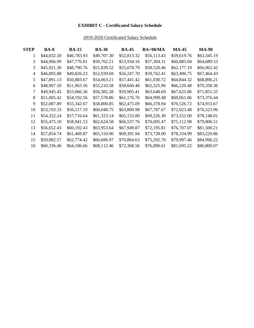## **EXHIBIT C - Certificated Salary Schedule**

## 2019-2020 Certificated Salary Schedule

| <b>STEP</b> | <b>BA-0</b> | <b>BA-15</b> | <b>BA-30</b> | <b>BA-45</b> | <b>BA+90/MA</b> | <b>MA-45</b> | <b>MA-90</b> |
|-------------|-------------|--------------|--------------|--------------|-----------------|--------------|--------------|
| 1           | \$44,032.50 | \$46,783.93  | \$49,707.30  | \$52,813.32  | \$56,113.43     | \$59,619.76  | \$63,345.19  |
| 2           | \$44,966.99 | \$47,776.81  | \$50,762.21  | \$53,934.16  | \$57,304.31     | \$60,885.04  | \$64,689.53  |
| 3           | \$45,921.30 | \$48,790.76  | \$51,839.52  | \$55,078.79  | \$58,520.46     | \$62,177.19  | \$66,062.42  |
| 4           | \$46,895.88 | \$49,826.23  | \$52,939.69  | \$56,247.70  | \$59,762.41     | \$63,496.75  | \$67,464.43  |
| 5           | \$47,891.13 | \$50,883.67  | \$54,063.21  | \$57,441.42  | \$61,030.72     | \$64,844.32  | \$68,896.21  |
| 6           | \$48,907.50 | \$51,963.56  | \$55,210.58  | \$58,660.48  | \$62,325.96     | \$66,220.48  | \$70,358.36  |
| 7           | \$49,945.45 | \$53,066.36  | \$56,382.28  | \$59,905.41  | \$63,648.69     | \$67,625.86  | \$71,851.55  |
| 8           | \$51,005.42 | \$54,192.56  | \$57,578.86  | \$61,176.76  | \$64,999.48     | \$69,061.06  | \$73,376.44  |
| 9           | \$52,087.89 | \$55,342.67  | \$58,800.85  | \$62,475.09  | \$66,378.94     | \$70,526.72  | \$74,933.67  |
| 10          | \$53,193.33 | \$56,517.19  | \$60,048.75  | \$63,800.98  | \$67,787.67     | \$72,023.48  | \$76,523.96  |
| 11          | \$54,322.24 | \$57,716.64  | \$61,323.14  | \$65,155.00  | \$69,226.30     | \$73,552.00  | \$78,148.01  |
| 12          | \$55,475.10 | \$58,941.53  | \$62,624.58  | \$66,537.76  | \$70,695.47     | \$75,112.98  | \$79,806.51  |
| 13          | \$56,652.43 | \$60,192.43  | \$63,953.64  | \$67,949.87  | \$72,195.81     | \$76,707.07  | \$81,500.21  |
| 14          | \$57,854.74 | \$61,469.87  | \$65,310.90  | \$69,391.94  | \$73,728.00     | \$78,334.99  | \$83,229.86  |
| 15          | \$59,082.57 | \$62,774.42  | \$66,696.97  | \$70,864.63  | \$75,292.70     | \$79,997.46  | \$84,996.22  |
| 16          | \$60,336.46 | \$64,106.66  | \$68,112.46  | \$72,368.56  | \$76,890.61     | \$81,695.22  | \$86,800.07  |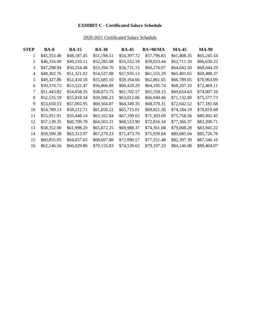## **EXHIBIT C - Certificated Salary Schedule**

## 2020-2021 Certificated Salary Schedule

| <b>STEP</b>    | <b>BA-0</b> | <b>BA-15</b> | <b>BA-30</b> | <b>BA-45</b> | <b>BA+90/MA</b> | <b>MA-45</b> | <b>MA-90</b> |
|----------------|-------------|--------------|--------------|--------------|-----------------|--------------|--------------|
| 1              | \$45,353.48 | \$48,187.45  | \$51,198.51  | \$54,397.72  | \$57,796.83     | \$61,408.35  | \$65,245.54  |
| 2              | \$46,316.00 | \$49,210.11  | \$52,285.08  | \$55,552.18  | \$59,023.44     | \$62,711.59  | \$66,630.22  |
| 3              | \$47,298.94 | \$50,254.48  | \$53,394.70  | \$56,731.15  | \$60,276.07     | \$64,042.50  | \$68,044.29  |
| $\overline{4}$ | \$48,302.76 | \$51,321.02  | \$54,527.88  | \$57,935.13  | \$61,555.29     | \$65,401.65  | \$69,488.37  |
| 5              | \$49,327.86 | \$52,410.18  | \$55,685.10  | \$59,164.66  | \$62,861.65     | \$66,789.65  | \$70,963.09  |
| 6              | \$50,374.73 | \$53,522.47  | \$56,866.89  | \$60,420.29  | \$64,195.74     | \$68,207.10  | \$72,469.11  |
| 7              | \$51,443.82 | \$54,658.35  | \$58,073.75  | \$61,702.57  | \$65,558.15     | \$69,654.63  | \$74,007.10  |
| 8              | \$52,535.59 | \$55,818.34  | \$59,306.23  | \$63,012.06  | \$66,949.46     | \$71,132.89  | \$75,577.73  |
| 9              | \$53,650.53 | \$57,002.95  | \$60,564.87  | \$64,349.35  | \$68,370.31     | \$72,642.52  | \$77,181.68  |
| 10             | \$54,789.13 | \$58,212.71  | \$61,850.22  | \$65,715.01  | \$69,821.30     | \$74,184.19  | \$78,819.68  |
| 11             | \$55,951.91 | \$59,448.14  | \$63,162.84  | \$67,109.65  | \$71,303.09     | \$75,758.56  | \$80,492.45  |
| 12             | \$57,139.35 | \$60,709.78  | \$64,503.31  | \$68,533.90  | \$72,816.34     | \$77,366.37  | \$82,200.71  |
| 13             | \$58,352.00 | \$61,998.20  | \$65,872.25  | \$69,988.37  | \$74,361.68     | \$79,008.28  | \$83,945.22  |
| 14             | \$59,590.38 | \$63,313.97  | \$67,270.23  | \$71,473.70  | \$75,939.84     | \$80,685.04  | \$85,726.76  |
| 15             | \$60,855.05 | \$64,657.65  | \$68,697.88  | \$72,990.57  | \$77,551.48     | \$82,397.39  | \$87,546.10  |
| 16             | \$62,146.56 | \$66,029.86  | \$70,155.83  | \$74,539.62  | \$79,197.33     | \$84,146.08  | \$89,404.07  |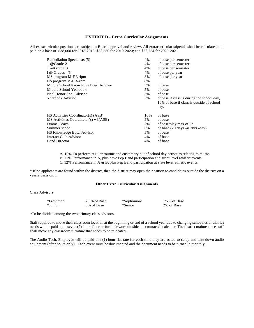#### **EXHIBIT D - Extra Curricular Assignments**

All extracurricular positions are subject to Board approval and review. All extracurricular stipends shall be calculated and paid on a base of \$38,000 for 2018-2019; \$38,380 for 2019-2020; and \$38,754 for 2020-2021.

| 4%<br>of base per semester<br>4%<br>of base per semester<br>4%<br>of base per year<br>8%<br>of base per year<br>8%<br>5%<br>of base<br>5%<br>of base<br>of base<br>5%<br>5%<br>of base if class is during the school day,<br>10% of base if class is outside of school<br>day.<br>of base<br>10%<br>5%<br>of base<br>7%<br>of base/play max of $2^*$<br>6%<br>of base (20 days $\omega$ 2hrs./day)<br>of base<br>5%<br>4%<br>of base<br>of base<br>4% | Remediation Specialists (5)          | 4% | of base per semester |
|-------------------------------------------------------------------------------------------------------------------------------------------------------------------------------------------------------------------------------------------------------------------------------------------------------------------------------------------------------------------------------------------------------------------------------------------------------|--------------------------------------|----|----------------------|
|                                                                                                                                                                                                                                                                                                                                                                                                                                                       | 1 @ Grade 2                          |    |                      |
|                                                                                                                                                                                                                                                                                                                                                                                                                                                       | 1 @ Grade 3                          |    |                      |
|                                                                                                                                                                                                                                                                                                                                                                                                                                                       | $1 \omega$ Grades $4/5$              |    |                      |
|                                                                                                                                                                                                                                                                                                                                                                                                                                                       | MS program M-F 3-4pm                 |    |                      |
|                                                                                                                                                                                                                                                                                                                                                                                                                                                       | HS program M-F 3-4pm                 |    |                      |
|                                                                                                                                                                                                                                                                                                                                                                                                                                                       | Middle School Knowledge Bowl Advisor |    |                      |
|                                                                                                                                                                                                                                                                                                                                                                                                                                                       | Middle School Yearbook               |    |                      |
|                                                                                                                                                                                                                                                                                                                                                                                                                                                       | Nat'l Honor Soc. Advisor             |    |                      |
|                                                                                                                                                                                                                                                                                                                                                                                                                                                       | Yearbook Advisor                     |    |                      |
|                                                                                                                                                                                                                                                                                                                                                                                                                                                       |                                      |    |                      |
|                                                                                                                                                                                                                                                                                                                                                                                                                                                       |                                      |    |                      |
|                                                                                                                                                                                                                                                                                                                                                                                                                                                       | HS Activities Coordinator(s) (ASB)   |    |                      |
|                                                                                                                                                                                                                                                                                                                                                                                                                                                       | MS Activities Coordinator(s) w3(ASB) |    |                      |
|                                                                                                                                                                                                                                                                                                                                                                                                                                                       | Drama Coach                          |    |                      |
|                                                                                                                                                                                                                                                                                                                                                                                                                                                       | Summer school                        |    |                      |
|                                                                                                                                                                                                                                                                                                                                                                                                                                                       | HS Knowledge Bowl Advisor            |    |                      |
|                                                                                                                                                                                                                                                                                                                                                                                                                                                       | Interact Club Advisor                |    |                      |
|                                                                                                                                                                                                                                                                                                                                                                                                                                                       | <b>Band Director</b>                 |    |                      |

A. 10% To perform regular routine and customary out of school day activities relating to music.

B. 11% Performance in A, plus have Pep Band participation at district level athletic events.

C. 12% Performance in A & B, plus Pep Band participation at state level athletic events.

\* If no applicants are found within the district, then the district may open the position to candidates outside the district on a yearly basis only.

#### **Other Extra Curricular Assignments**

Class Advisors:

| *Freshmen | .75 % of Base | *Sophomore | .75% of Base |
|-----------|---------------|------------|--------------|
| *Junior   | .8% of Base   | *Senior    | 2% of Base   |

\*To be divided among the two primary class advisors.

Staff required to move their classroom location at the beginning or end of a school year due to changing schedules or district needs will be paid up to seven (7) hours flat rate for their work outside the contracted calendar. The district maintenance staff shall move any classroom furniture that needs to be relocated.

The Audio Tech. Employee will be paid one (1) hour flat rate for each time they are asked to setup and take down audio equipment (after hours only). Each event must be documented and the document needs to be turned in monthly.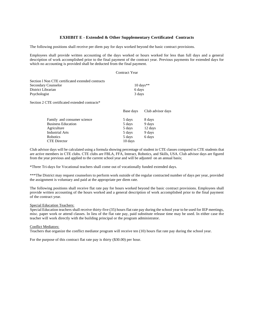#### **EXHIBIT E - Extended & Other Supplementary Certificated Contracts**

The following positions shall receive per diem pay for days worked beyond the basic contract provisions.

Employees shall provide written accounting of the days worked or hours worked for less than full days and a general description of work accomplished prior to the final payment of the contract year. Previous payments for extended days for which no accounting is provided shall be deducted from the final payment.

#### Contract Year

| Section 1 Non CTE certificated extended contracts |                      |
|---------------------------------------------------|----------------------|
| Secondary Counselor                               | $10 \text{ days}$ ** |
| District Librarian                                | 6 days               |
| Psychologist                                      | 3 days               |

Section 2 CTE certificated extended contracts\*

|                             | Base days | Club advisor days |
|-----------------------------|-----------|-------------------|
| Family and consumer science | 5 days    | 8 days            |
| <b>Business Education</b>   | 5 days    | 9 days            |
| Agriculture                 | 5 days    | 12 days           |
| <b>Industrial Arts</b>      | 5 days    | 9 days            |
| Robotics                    | 5 days    | 6 days            |
| <b>CTE</b> Director         | 10 days   |                   |

Club advisor days will be calculated using a formula showing percentage of student in CTE classes compared to CTE students that are active members in CTE clubs. CTE clubs are FBLA, FFA, Interact, Robotics, and Skills, USA. Club advisor days are figured from the year previous and applied to the current school year and will be adjusted on an annual basis;

\*Three Tri-days for Vocational teachers shall come out of vocationally funded extended days.

\*\*\*The District may request counselors to perform work outside of the regular contracted number of days per year, provided the assignment is voluntary and paid at the appropriate per diem rate.

The following positions shall receive flat rate pay for hours worked beyond the basic contract provisions. Employees shall provide written accounting of the hours worked and a general description of work accomplished prior to the final payment of the contract year.

#### Special Education Teachers:

Special Education teachers shall receive thirty-five (35) hours flat rate pay during the school year to be used for IEP meetings, misc. paper work or attend classes. In lieu of the flat rate pay, paid substitute release time may be used. In either case the teacher will work directly with the building principal or the program administrator.

#### Conflict Mediators:

Teachers that organize the conflict mediator program will receive ten (10) hours flat rate pay during the school year.

For the purpose of this contract flat rate pay is thirty (\$30.00) per hour.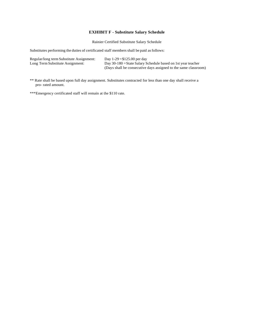#### **EXHIBIT F - Substitute Salary Schedule**

Rainier Certified Substitute Salary Schedule

Substitutes performing the duties of certificated staff members shall be paid asfollows:

| Regular/long term Substitute Assignment: | Day $1-29 = $125.00$ per day                                    |
|------------------------------------------|-----------------------------------------------------------------|
| Long Term Substitute Assignment:         | Day 30-180 = State Salary Schedule based on 1st year teacher    |
|                                          | (Days shall be consecutive days assigned to the same classroom) |

- \*\* Rate shall be based upon full day assignment. Substitutes contracted for less than one day shall receive a pro- rated amount.
- \*\*\*Emergency certificated staff will remain at the \$110 rate.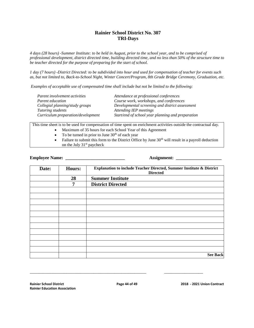#### **Rainier School District No. 307 TRI-Days**

*4 days (28 hours) -Summer Institute: to be held in August, prior to the school year, and to be comprised of professional development, district directed time, building directed time, and no less than 50% of the structure time to be teacher directed for the purpose of preparing for the start of school.*

*1 day (7 hours) -District Directed: to be subdivided into hour and used for compensation of teacher for events such as, but not limited to, Back-to-School Night, Winter Concert/Program, 8th Grade Bridge Ceremony, Graduation, etc.*

*Examples of acceptable use of compensated time shall include but not be limited to the following:*

| Parent involvement activities      | Attendance at professional conferences            |
|------------------------------------|---------------------------------------------------|
| Parent education                   | Course work, workshops, and conferences           |
| Collegial planning/study groups    | Developmental screening and district assessment   |
| Tutoring students                  | Attending IEP meetings                            |
| Curriculum preparation/development | Start/end of school year planning and preparation |

This time sheet is to be used for compensation of time spent on enrichment activities outside the contractual day.

- Maximum of 35 hours for each School Year of this Agreement
- $\bullet$  To be turned in prior to June 30<sup>th</sup> of each year
- Failure to submit this form to the District Office by June  $30<sup>th</sup>$  will result in a payroll deduction on the July  $31<sup>st</sup>$  paycheck

**Employee Name: \_\_\_\_\_\_\_\_\_\_\_\_\_\_\_\_\_\_\_\_\_\_\_\_\_\_ Assignment: \_\_\_\_\_\_\_\_\_\_\_\_\_\_\_\_\_\_\_\_**

| Date: | <b>Hours:</b> | Explanation to include Teacher Directed, Summer Institute & District<br><b>Directed</b> |
|-------|---------------|-----------------------------------------------------------------------------------------|
|       | 28            | <b>Summer Institute</b>                                                                 |
|       | 7             | <b>District Directed</b>                                                                |
|       |               |                                                                                         |
|       |               |                                                                                         |
|       |               |                                                                                         |
|       |               |                                                                                         |
|       |               |                                                                                         |
|       |               |                                                                                         |
|       |               |                                                                                         |
|       |               |                                                                                         |
|       |               |                                                                                         |
|       |               |                                                                                         |
|       |               |                                                                                         |
|       |               | <b>See Back</b>                                                                         |

\_\_\_\_\_\_\_\_\_\_\_\_\_\_\_\_\_\_\_\_\_\_\_\_\_\_\_\_\_\_\_\_\_\_\_\_\_\_\_\_\_\_\_\_\_\_\_\_\_\_\_ \_\_\_\_\_\_\_\_\_\_\_\_\_\_\_\_\_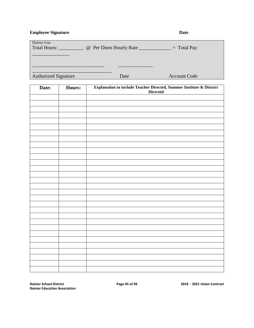**Employee Signature Date** 

| District Use:<br><b>Total Hours:</b><br>@ Per Diem Hourly Rate |      | $=$ Total Pay       |
|----------------------------------------------------------------|------|---------------------|
|                                                                |      |                     |
| <b>Authorized Signature</b>                                    | Date | <b>Account Code</b> |

| Date: | Hours: | Explanation to include Teacher Directed, Summer Institute & District<br><b>Directed</b> |
|-------|--------|-----------------------------------------------------------------------------------------|
|       |        |                                                                                         |
|       |        |                                                                                         |
|       |        |                                                                                         |
|       |        |                                                                                         |
|       |        |                                                                                         |
|       |        |                                                                                         |
|       |        |                                                                                         |
|       |        |                                                                                         |
|       |        |                                                                                         |
|       |        |                                                                                         |
|       |        |                                                                                         |
|       |        |                                                                                         |
|       |        |                                                                                         |
|       |        |                                                                                         |
|       |        |                                                                                         |
|       |        |                                                                                         |
|       |        |                                                                                         |
|       |        |                                                                                         |
|       |        |                                                                                         |
|       |        |                                                                                         |
|       |        |                                                                                         |
|       |        |                                                                                         |
|       |        |                                                                                         |
|       |        |                                                                                         |
|       |        |                                                                                         |
|       |        |                                                                                         |
|       |        |                                                                                         |
|       |        |                                                                                         |
|       |        |                                                                                         |
|       |        |                                                                                         |
|       |        |                                                                                         |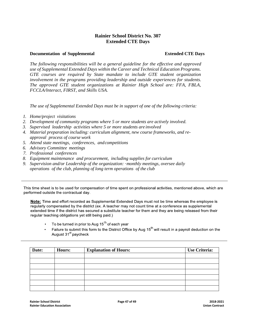#### **Rainier School District No. 307 Extended CTE Days**

#### **Documentation of Supplemental Extended CTE Days**

*The following responsibilities will be a general guideline for the effective and approved use of Supplemental Extended Days within the Career and Technical Education Programs. GTE courses are required by State mandate to include GTE student organization involvement in the programs providing leadership and outside experiences for students. The approved GTE student organizations at Rainier High School are: FFA, FBLA, FCCLA/lnteract, FIRST, and Skills USA.*

*The use of Supplemental Extended Days must be in support of one of the following criteria:*

- *1. Home/project visitations*
- *2. Development of community programs where 5 or more students are actively involved.*
- *3. Supervised leadership activities where 5 or more students are involved*
- *4. Material preparation including: curriculum alignment, new course frameworks, and reapproval process of course work*
- *5. Attend state meetings, conferences, andcompetitions*
- *6. Advisory Committee meetings*
- *7. Professional conferences*
- *8. Equipment maintenance and procurement, including supplies for curriculum*
- *9. Supervision and/or Leadership of the organization:* ·*monthly meetings, oversee daily operations of the club, planning of long term operations of the club*

This time sheet is to be used for compensation of time spent on professional activities, mentioned above, which are performed outside the contractual day.

Note: Time and effort recorded as Supplemental Extended Days must not be time whereas the employee is regularly compensated by the district (ex. A teacher may not count time at a conference as supplemental extended time if the district has secured a substitute teacher for them and they are being released from their regular teaching obligations yet still being paid.)

- To be turned in prior to Aug  $15<sup>lh</sup>$  of each year
- Failure to submit this form to the District Office by Aug  $15^{th}$  will result in a payroll deduction on the August 31<sup>st</sup> paycheck

| Date: | <b>Hours:</b> | <b>Explanation of Hours:</b> | <b>Use Criteria:</b> |
|-------|---------------|------------------------------|----------------------|
|       |               |                              |                      |
|       |               |                              |                      |
|       |               |                              |                      |
|       |               |                              |                      |
|       |               |                              |                      |
|       |               |                              |                      |
|       |               |                              |                      |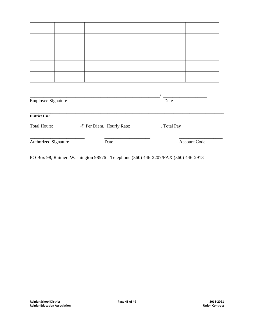|                             |      | <u> 1990 - Johann Barbara, politik eta politikar</u>                                                |
|-----------------------------|------|-----------------------------------------------------------------------------------------------------|
| <b>Employee Signature</b>   |      | Date                                                                                                |
|                             |      |                                                                                                     |
| <b>District Use:</b>        |      |                                                                                                     |
|                             |      | Total Hours: ______________ @ Per Diem. Hourly Rate: ______________. Total Pay ____________________ |
| <b>Authorized Signature</b> | Date | <b>Account Code</b>                                                                                 |
|                             |      |                                                                                                     |

PO Box 98, Rainier, Washington 98576 - Telephone (360) 446-2207/FAX (360) 446-2918